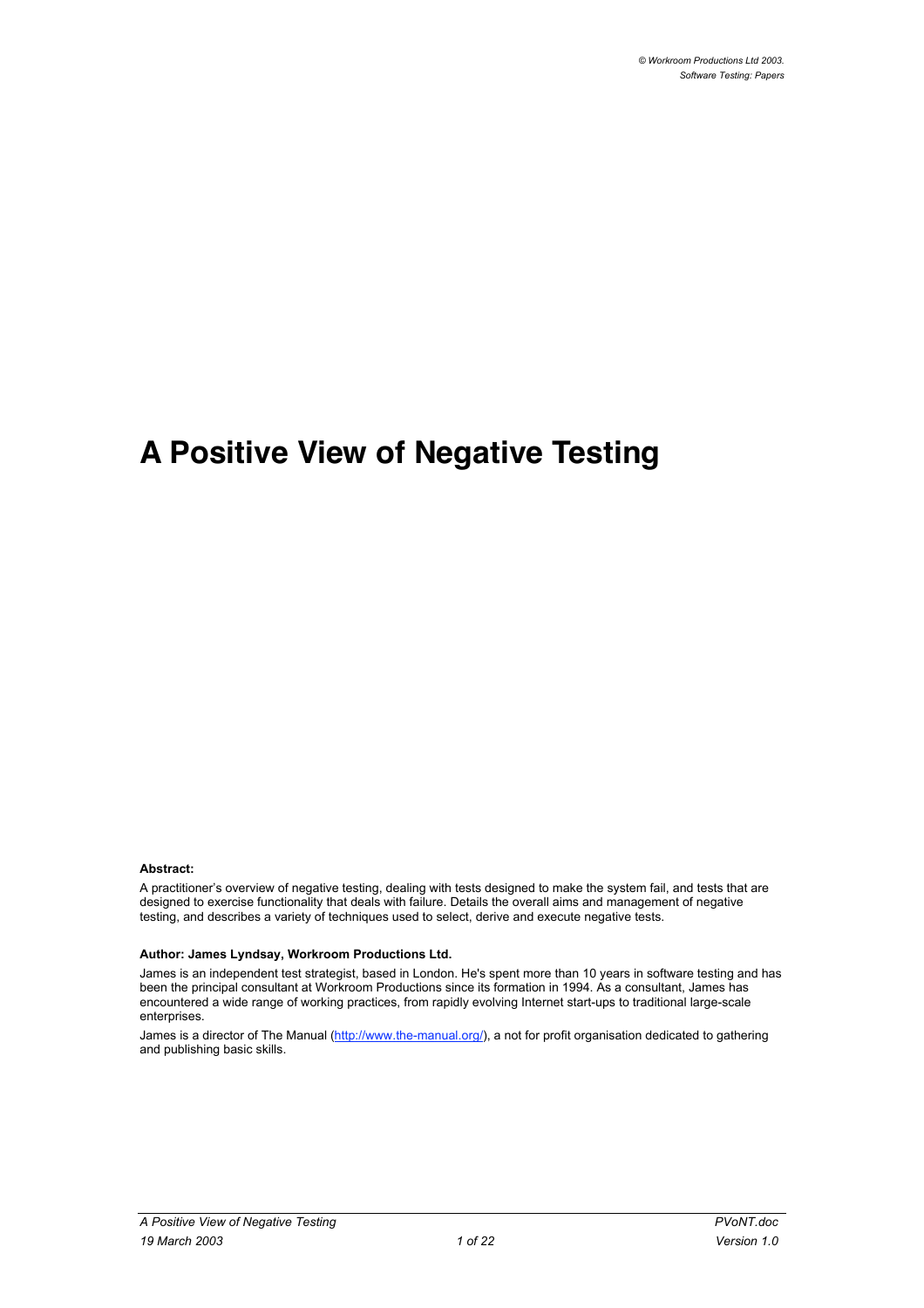# **A Positive View of Negative Testing**

#### **Abstract:**

A practitioner's overview of negative testing, dealing with tests designed to make the system fail, and tests that are designed to exercise functionality that deals with failure. Details the overall aims and management of negative testing, and describes a variety of techniques used to select, derive and execute negative tests.

#### **Author: James Lyndsay, Workroom Productions Ltd.**

James is an independent test strategist, based in London. He's spent more than 10 years in software testing and has been the principal consultant at Workroom Productions since its formation in 1994. As a consultant, James has encountered a wide range of working practices, from rapidly evolving Internet start-ups to traditional large-scale enterprises.

James is a director of The Manual (http://www.the-manual.org/), a not for profit organisation dedicated to gathering and publishing basic skills.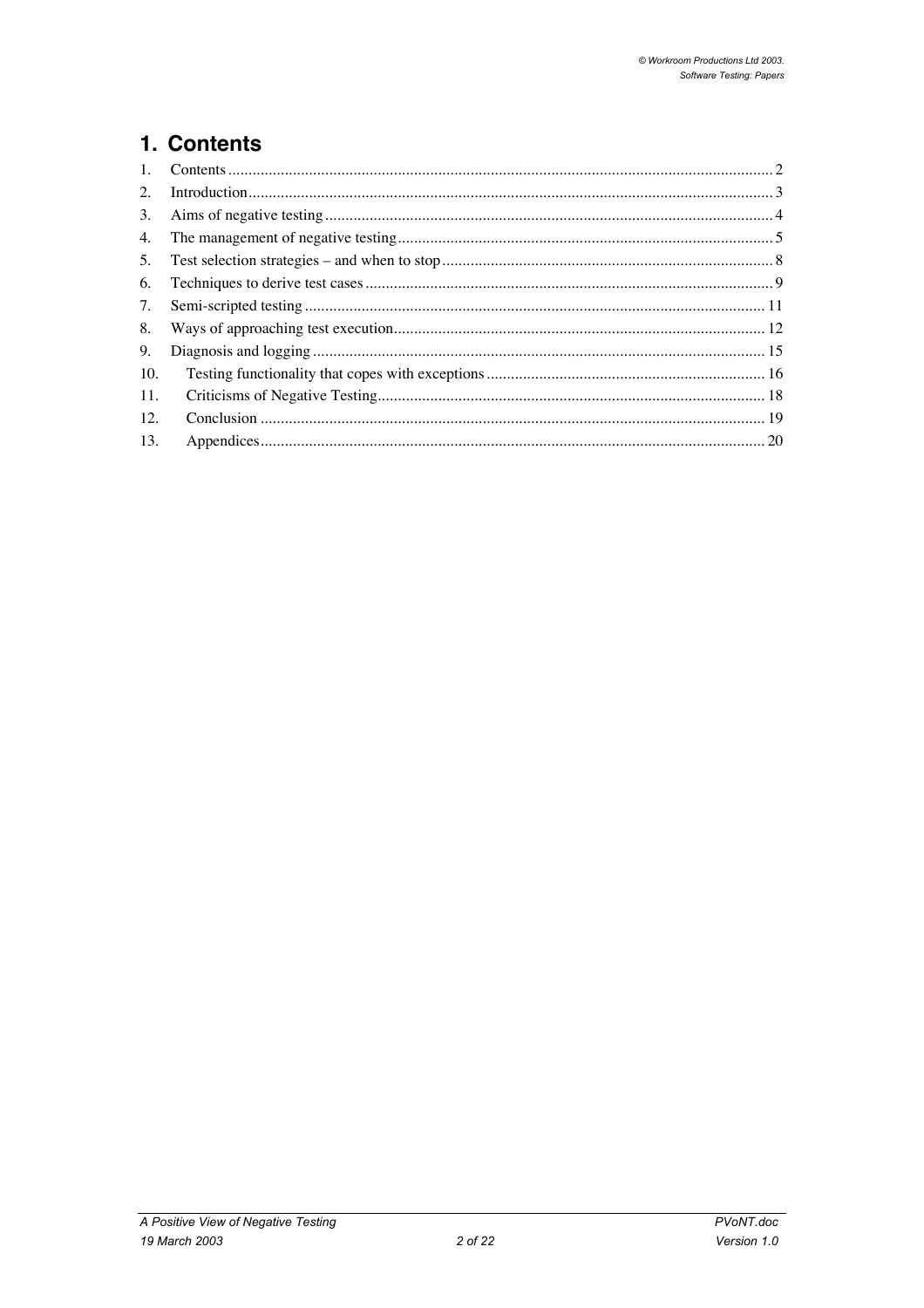# 1. Contents

| $\mathbf{1}$ . |  |
|----------------|--|
| 2.             |  |
| 3.             |  |
| 4.             |  |
| 5.             |  |
| 6.             |  |
| 7.             |  |
| 8.             |  |
| 9.             |  |
| 10.            |  |
| 11.            |  |
| 12.            |  |
| 13.            |  |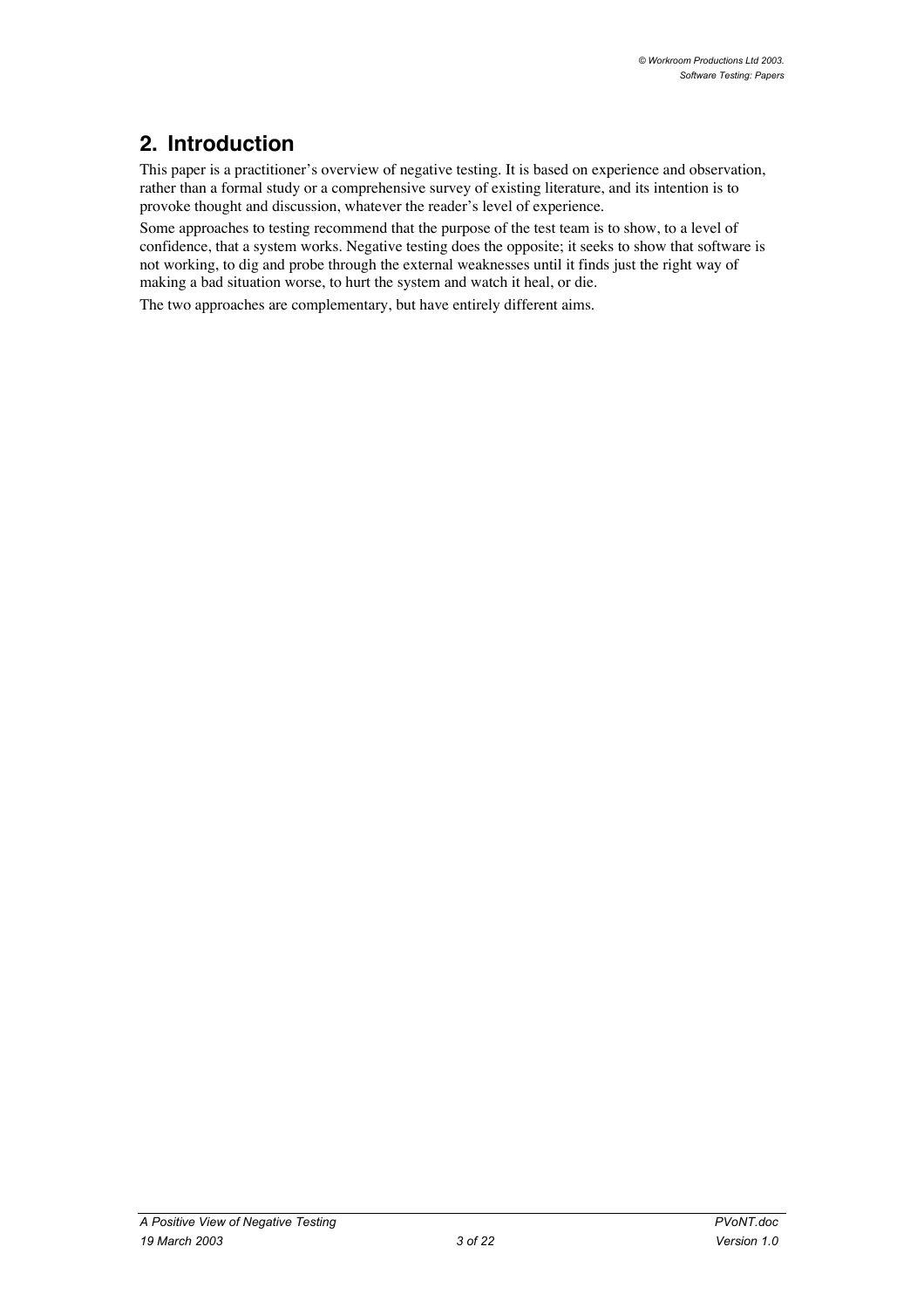# **2. Introduction**

This paper is a practitioner's overview of negative testing. It is based on experience and observation, rather than a formal study or a comprehensive survey of existing literature, and its intention is to provoke thought and discussion, whatever the reader's level of experience.

Some approaches to testing recommend that the purpose of the test team is to show, to a level of confidence, that a system works. Negative testing does the opposite; it seeks to show that software is not working, to dig and probe through the external weaknesses until it finds just the right way of making a bad situation worse, to hurt the system and watch it heal, or die.

The two approaches are complementary, but have entirely different aims.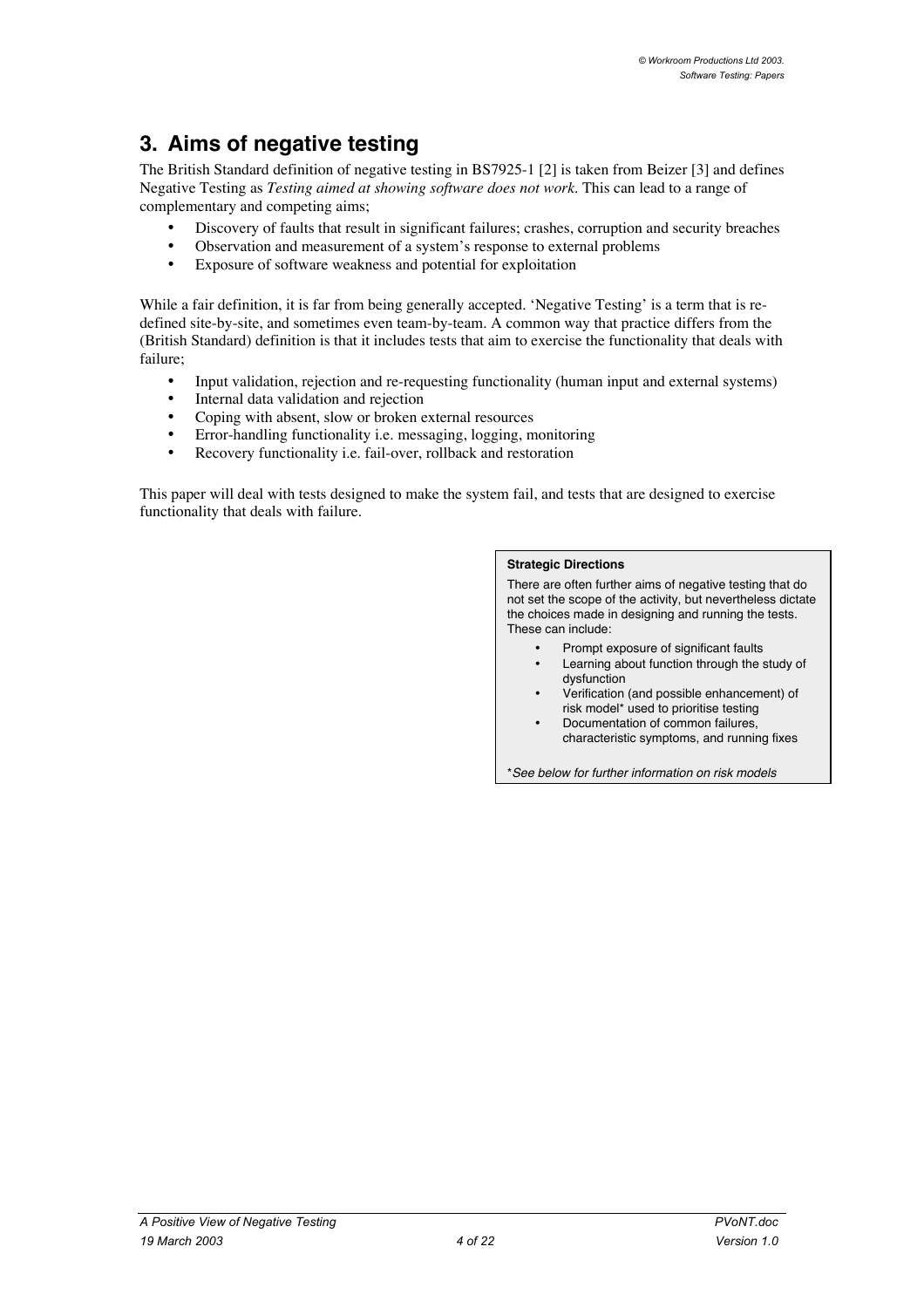# **3. Aims of negative testing**

The British Standard definition of negative testing in BS7925-1 [2] is taken from Beizer [3] and defines Negative Testing as *Testing aimed at showing software does not work*. This can lead to a range of complementary and competing aims;

Discovery of faults that result in significant failures; crashes, corruption and security breaches Observation and measurement of a system's response to external problems Exposure of software weakness and potential for exploitation

While a fair definition, it is far from being generally accepted. 'Negative Testing' is a term that is redefined site-by-site, and sometimes even team-by-team. A common way that practice differs from the (British Standard) definition is that it includes tests that aim to exercise the functionality that deals with failure;

Input validation, rejection and re-requesting functionality (human input and external systems) Internal data validation and rejection

Coping with absent, slow or broken external resources

Error-handling functionality i.e. messaging, logging, monitoring

Recovery functionality i.e. fail-over, rollback and restoration

This paper will deal with tests designed to make the system fail, and tests that are designed to exercise functionality that deals with failure.

#### **Strategic Directions**

There are often further aims of negative testing that do not set the scope of the activity, but nevertheless dictate the choices made in designing and running the tests. These can include:

Prompt exposure of significant faults Learning about function through the study of dysfunction Verification (and possible enhancement) of risk model\* used to prioritise testing Documentation of common failures, characteristic symptoms, and running fixes

\*See below for further information on risk models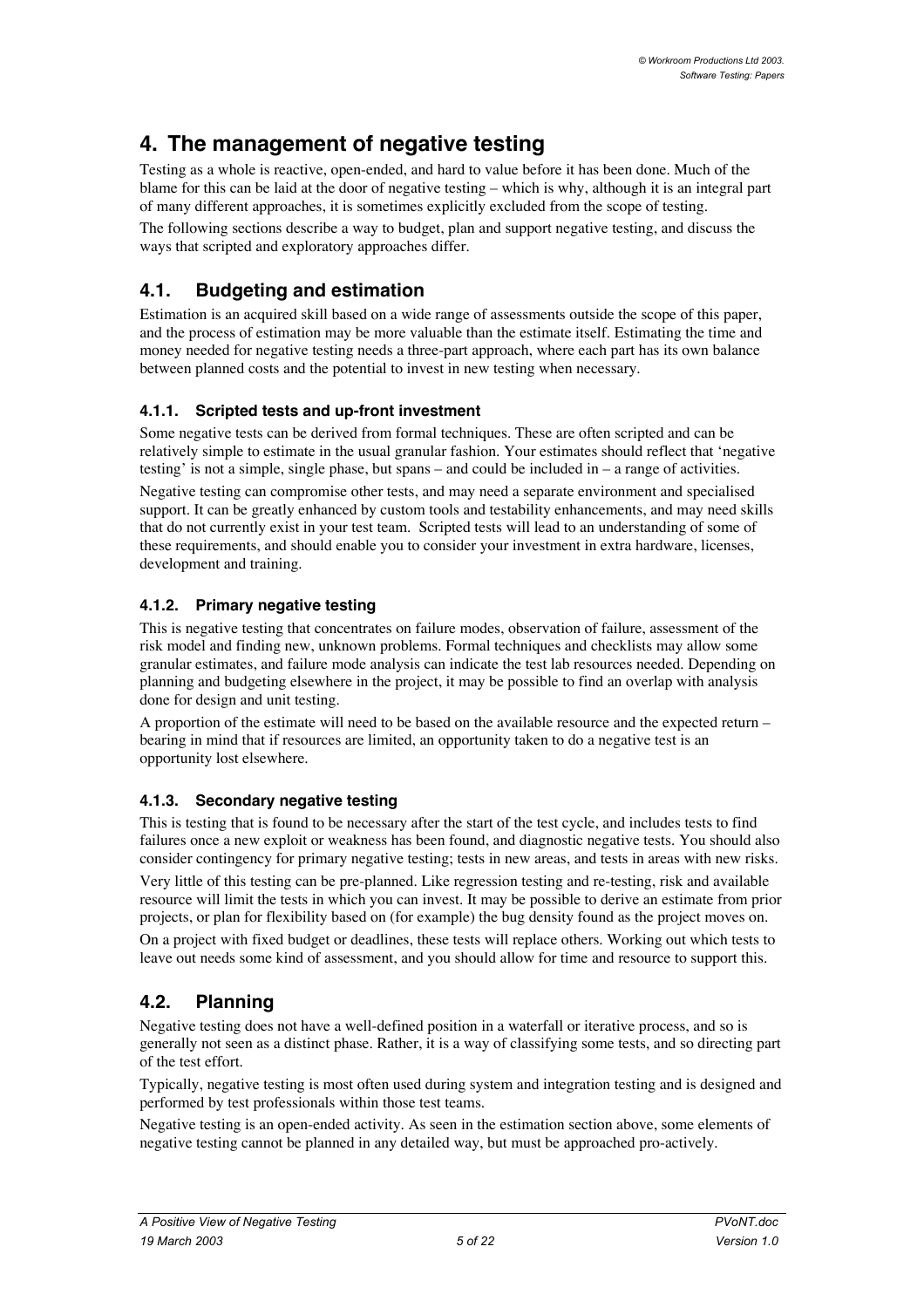# **4. The management of negative testing**

Testing as a whole is reactive, open-ended, and hard to value before it has been done. Much of the blame for this can be laid at the door of negative testing – which is why, although it is an integral part of many different approaches, it is sometimes explicitly excluded from the scope of testing.

The following sections describe a way to budget, plan and support negative testing, and discuss the ways that scripted and exploratory approaches differ.

## **4.1. Budgeting and estimation**

Estimation is an acquired skill based on a wide range of assessments outside the scope of this paper, and the process of estimation may be more valuable than the estimate itself. Estimating the time and money needed for negative testing needs a three-part approach, where each part has its own balance between planned costs and the potential to invest in new testing when necessary.

### **4.1.1. Scripted tests and up-front investment**

Some negative tests can be derived from formal techniques. These are often scripted and can be relatively simple to estimate in the usual granular fashion. Your estimates should reflect that 'negative testing' is not a simple, single phase, but spans – and could be included in – a range of activities.

Negative testing can compromise other tests, and may need a separate environment and specialised support. It can be greatly enhanced by custom tools and testability enhancements, and may need skills that do not currently exist in your test team. Scripted tests will lead to an understanding of some of these requirements, and should enable you to consider your investment in extra hardware, licenses, development and training.

### **4.1.2. Primary negative testing**

This is negative testing that concentrates on failure modes, observation of failure, assessment of the risk model and finding new, unknown problems. Formal techniques and checklists may allow some granular estimates, and failure mode analysis can indicate the test lab resources needed. Depending on planning and budgeting elsewhere in the project, it may be possible to find an overlap with analysis done for design and unit testing.

A proportion of the estimate will need to be based on the available resource and the expected return – bearing in mind that if resources are limited, an opportunity taken to do a negative test is an opportunity lost elsewhere.

### **4.1.3. Secondary negative testing**

This is testing that is found to be necessary after the start of the test cycle, and includes tests to find failures once a new exploit or weakness has been found, and diagnostic negative tests. You should also consider contingency for primary negative testing; tests in new areas, and tests in areas with new risks. Very little of this testing can be pre-planned. Like regression testing and re-testing, risk and available resource will limit the tests in which you can invest. It may be possible to derive an estimate from prior projects, or plan for flexibility based on (for example) the bug density found as the project moves on.

On a project with fixed budget or deadlines, these tests will replace others. Working out which tests to leave out needs some kind of assessment, and you should allow for time and resource to support this.

## **4.2. Planning**

Negative testing does not have a well-defined position in a waterfall or iterative process, and so is generally not seen as a distinct phase. Rather, it is a way of classifying some tests, and so directing part of the test effort.

Typically, negative testing is most often used during system and integration testing and is designed and performed by test professionals within those test teams.

Negative testing is an open-ended activity. As seen in the estimation section above, some elements of negative testing cannot be planned in any detailed way, but must be approached pro-actively.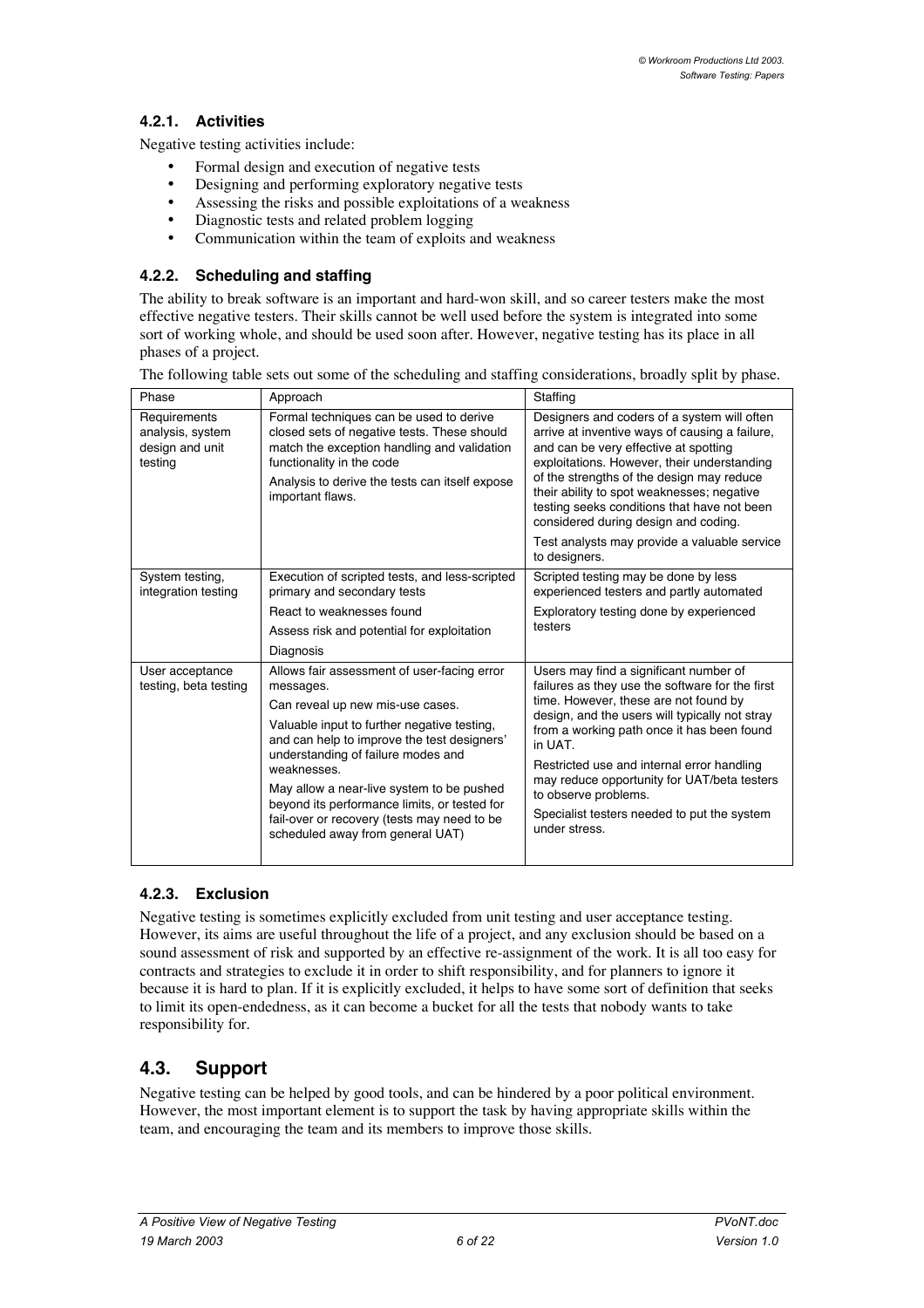### **4.2.1. Activities**

Negative testing activities include:

Formal design and execution of negative tests Designing and performing exploratory negative tests Assessing the risks and possible exploitations of a weakness Diagnostic tests and related problem logging Communication within the team of exploits and weakness

#### **4.2.2. Scheduling and staffing**

The ability to break software is an important and hard-won skill, and so career testers make the most effective negative testers. Their skills cannot be well used before the system is integrated into some sort of working whole, and should be used soon after. However, negative testing has its place in all phases of a project.

| Phase                                                          | Approach                                                                                                                                                                                                                                                                                                                                                                                                                        | Staffing                                                                                                                                                                                                                                                                                                                                                                                                                                 |
|----------------------------------------------------------------|---------------------------------------------------------------------------------------------------------------------------------------------------------------------------------------------------------------------------------------------------------------------------------------------------------------------------------------------------------------------------------------------------------------------------------|------------------------------------------------------------------------------------------------------------------------------------------------------------------------------------------------------------------------------------------------------------------------------------------------------------------------------------------------------------------------------------------------------------------------------------------|
| Requirements<br>analysis, system<br>design and unit<br>testing | Formal techniques can be used to derive<br>closed sets of negative tests. These should<br>match the exception handling and validation<br>functionality in the code<br>Analysis to derive the tests can itself expose<br>important flaws.                                                                                                                                                                                        | Designers and coders of a system will often<br>arrive at inventive ways of causing a failure.<br>and can be very effective at spotting<br>exploitations. However, their understanding<br>of the strengths of the design may reduce<br>their ability to spot weaknesses; negative<br>testing seeks conditions that have not been<br>considered during design and coding.<br>Test analysts may provide a valuable service<br>to designers. |
| System testing,<br>integration testing                         | Execution of scripted tests, and less-scripted<br>primary and secondary tests<br>React to weaknesses found<br>Assess risk and potential for exploitation<br>Diagnosis                                                                                                                                                                                                                                                           | Scripted testing may be done by less<br>experienced testers and partly automated<br>Exploratory testing done by experienced<br>testers                                                                                                                                                                                                                                                                                                   |
| User acceptance<br>testing, beta testing                       | Allows fair assessment of user-facing error<br>messages.<br>Can reveal up new mis-use cases.<br>Valuable input to further negative testing,<br>and can help to improve the test designers'<br>understanding of failure modes and<br>weaknesses.<br>May allow a near-live system to be pushed<br>beyond its performance limits, or tested for<br>fail-over or recovery (tests may need to be<br>scheduled away from general UAT) | Users may find a significant number of<br>failures as they use the software for the first<br>time. However, these are not found by<br>design, and the users will typically not stray<br>from a working path once it has been found<br>in UAT<br>Restricted use and internal error handling<br>may reduce opportunity for UAT/beta testers<br>to observe problems.<br>Specialist testers needed to put the system<br>under stress.        |

The following table sets out some of the scheduling and staffing considerations, broadly split by phase.

### **4.2.3. Exclusion**

Negative testing is sometimes explicitly excluded from unit testing and user acceptance testing. However, its aims are useful throughout the life of a project, and any exclusion should be based on a sound assessment of risk and supported by an effective re-assignment of the work. It is all too easy for contracts and strategies to exclude it in order to shift responsibility, and for planners to ignore it because it is hard to plan. If it is explicitly excluded, it helps to have some sort of definition that seeks to limit its open-endedness, as it can become a bucket for all the tests that nobody wants to take responsibility for.

## **4.3. Support**

Negative testing can be helped by good tools, and can be hindered by a poor political environment. However, the most important element is to support the task by having appropriate skills within the team, and encouraging the team and its members to improve those skills.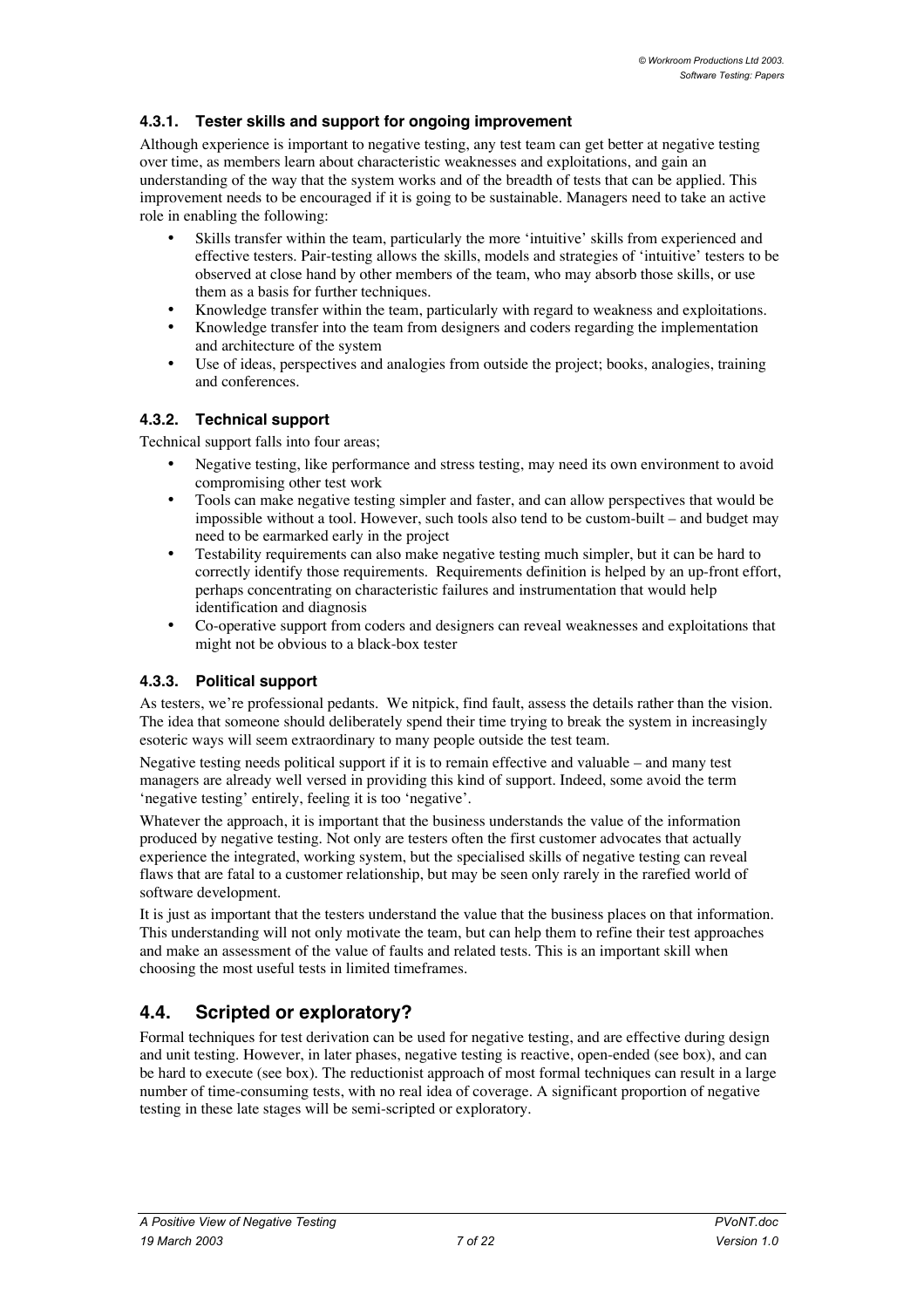### **4.3.1. Tester skills and support for ongoing improvement**

Although experience is important to negative testing, any test team can get better at negative testing over time, as members learn about characteristic weaknesses and exploitations, and gain an understanding of the way that the system works and of the breadth of tests that can be applied. This improvement needs to be encouraged if it is going to be sustainable. Managers need to take an active role in enabling the following:

Skills transfer within the team, particularly the more 'intuitive' skills from experienced and effective testers. Pair-testing allows the skills, models and strategies of 'intuitive' testers to be observed at close hand by other members of the team, who may absorb those skills, or use them as a basis for further techniques.

Knowledge transfer within the team, particularly with regard to weakness and exploitations. Knowledge transfer into the team from designers and coders regarding the implementation and architecture of the system

Use of ideas, perspectives and analogies from outside the project; books, analogies, training and conferences.

### **4.3.2. Technical support**

Technical support falls into four areas;

Negative testing, like performance and stress testing, may need its own environment to avoid compromising other test work

Tools can make negative testing simpler and faster, and can allow perspectives that would be impossible without a tool. However, such tools also tend to be custom-built – and budget may need to be earmarked early in the project

Testability requirements can also make negative testing much simpler, but it can be hard to correctly identify those requirements. Requirements definition is helped by an up-front effort, perhaps concentrating on characteristic failures and instrumentation that would help identification and diagnosis

Co-operative support from coders and designers can reveal weaknesses and exploitations that might not be obvious to a black-box tester

#### **4.3.3. Political support**

As testers, we're professional pedants. We nitpick, find fault, assess the details rather than the vision. The idea that someone should deliberately spend their time trying to break the system in increasingly esoteric ways will seem extraordinary to many people outside the test team.

Negative testing needs political support if it is to remain effective and valuable – and many test managers are already well versed in providing this kind of support. Indeed, some avoid the term 'negative testing' entirely, feeling it is too 'negative'.

Whatever the approach, it is important that the business understands the value of the information produced by negative testing. Not only are testers often the first customer advocates that actually experience the integrated, working system, but the specialised skills of negative testing can reveal flaws that are fatal to a customer relationship, but may be seen only rarely in the rarefied world of software development.

It is just as important that the testers understand the value that the business places on that information. This understanding will not only motivate the team, but can help them to refine their test approaches and make an assessment of the value of faults and related tests. This is an important skill when choosing the most useful tests in limited timeframes.

## **4.4. Scripted or exploratory?**

Formal techniques for test derivation can be used for negative testing, and are effective during design and unit testing. However, in later phases, negative testing is reactive, open-ended (see box), and can be hard to execute (see box). The reductionist approach of most formal techniques can result in a large number of time-consuming tests, with no real idea of coverage. A significant proportion of negative testing in these late stages will be semi-scripted or exploratory.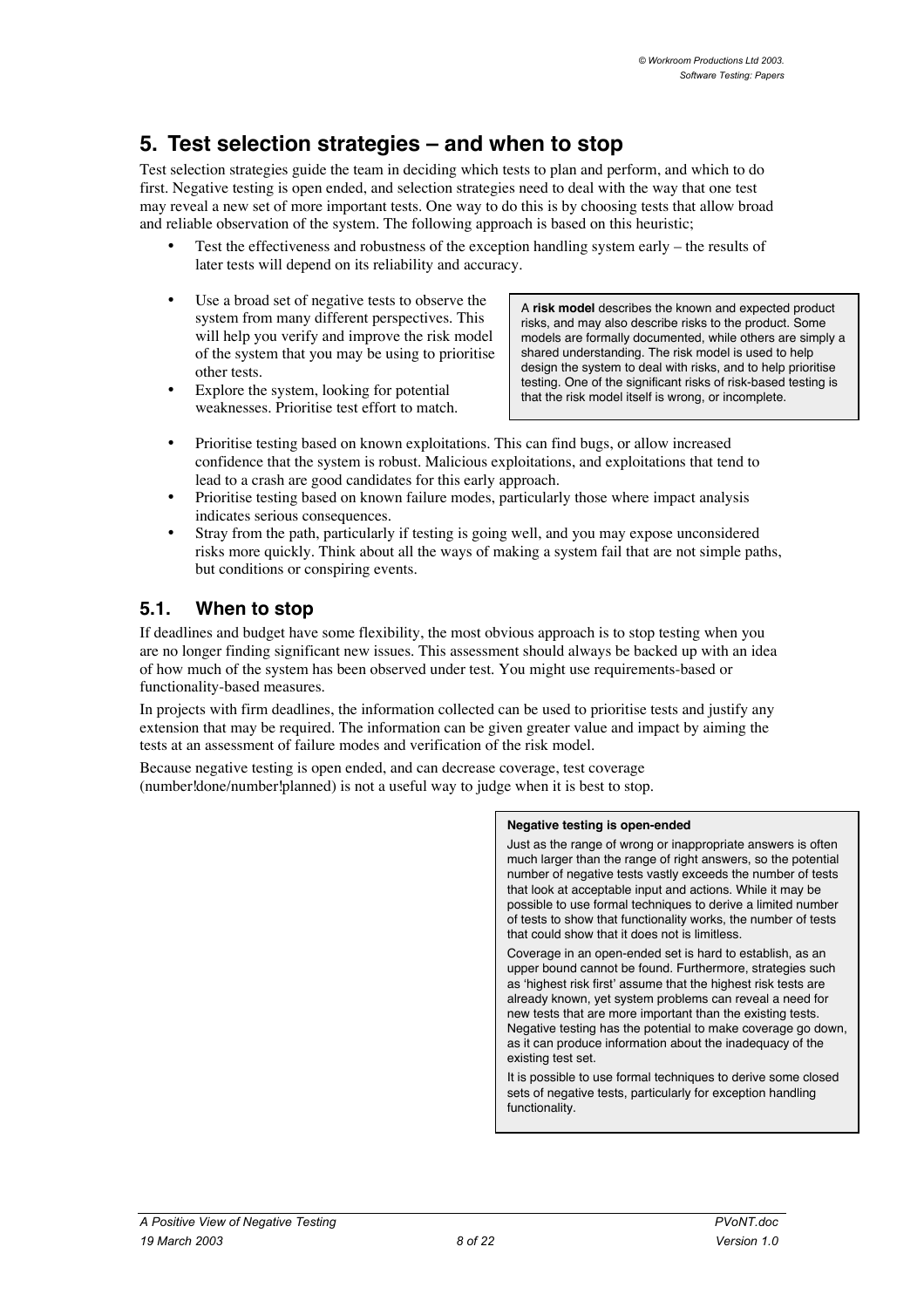## **5. Test selection strategies – and when to stop**

Test selection strategies guide the team in deciding which tests to plan and perform, and which to do first. Negative testing is open ended, and selection strategies need to deal with the way that one test may reveal a new set of more important tests. One way to do this is by choosing tests that allow broad and reliable observation of the system. The following approach is based on this heuristic;

Test the effectiveness and robustness of the exception handling system early – the results of later tests will depend on its reliability and accuracy.

Use a broad set of negative tests to observe the system from many different perspectives. This will help you verify and improve the risk model of the system that you may be using to prioritise other tests.

Explore the system, looking for potential weaknesses. Prioritise test effort to match. A **risk model** describes the known and expected product risks, and may also describe risks to the product. Some models are formally documented, while others are simply a shared understanding. The risk model is used to help design the system to deal with risks, and to help prioritise testing. One of the significant risks of risk-based testing is that the risk model itself is wrong, or incomplete.

Prioritise testing based on known exploitations. This can find bugs, or allow increased confidence that the system is robust. Malicious exploitations, and exploitations that tend to lead to a crash are good candidates for this early approach.

Prioritise testing based on known failure modes, particularly those where impact analysis indicates serious consequences.

Stray from the path, particularly if testing is going well, and you may expose unconsidered risks more quickly. Think about all the ways of making a system fail that are not simple paths, but conditions or conspiring events.

### **5.1. When to stop**

If deadlines and budget have some flexibility, the most obvious approach is to stop testing when you are no longer finding significant new issues. This assessment should always be backed up with an idea of how much of the system has been observed under test. You might use requirements-based or functionality-based measures.

In projects with firm deadlines, the information collected can be used to prioritise tests and justify any extension that may be required. The information can be given greater value and impact by aiming the tests at an assessment of failure modes and verification of the risk model.

Because negative testing is open ended, and can decrease coverage, test coverage (number!done/number!planned) is not a useful way to judge when it is best to stop.

#### **Negative testing is open-ended**

Just as the range of wrong or inappropriate answers is often much larger than the range of right answers, so the potential number of negative tests vastly exceeds the number of tests that look at acceptable input and actions. While it may be possible to use formal techniques to derive a limited number of tests to show that functionality works, the number of tests that could show that it does not is limitless.

Coverage in an open-ended set is hard to establish, as an upper bound cannot be found. Furthermore, strategies such as 'highest risk first' assume that the highest risk tests are already known, yet system problems can reveal a need for new tests that are more important than the existing tests. Negative testing has the potential to make coverage go down, as it can produce information about the inadequacy of the existing test set.

It is possible to use formal techniques to derive some closed sets of negative tests, particularly for exception handling functionality.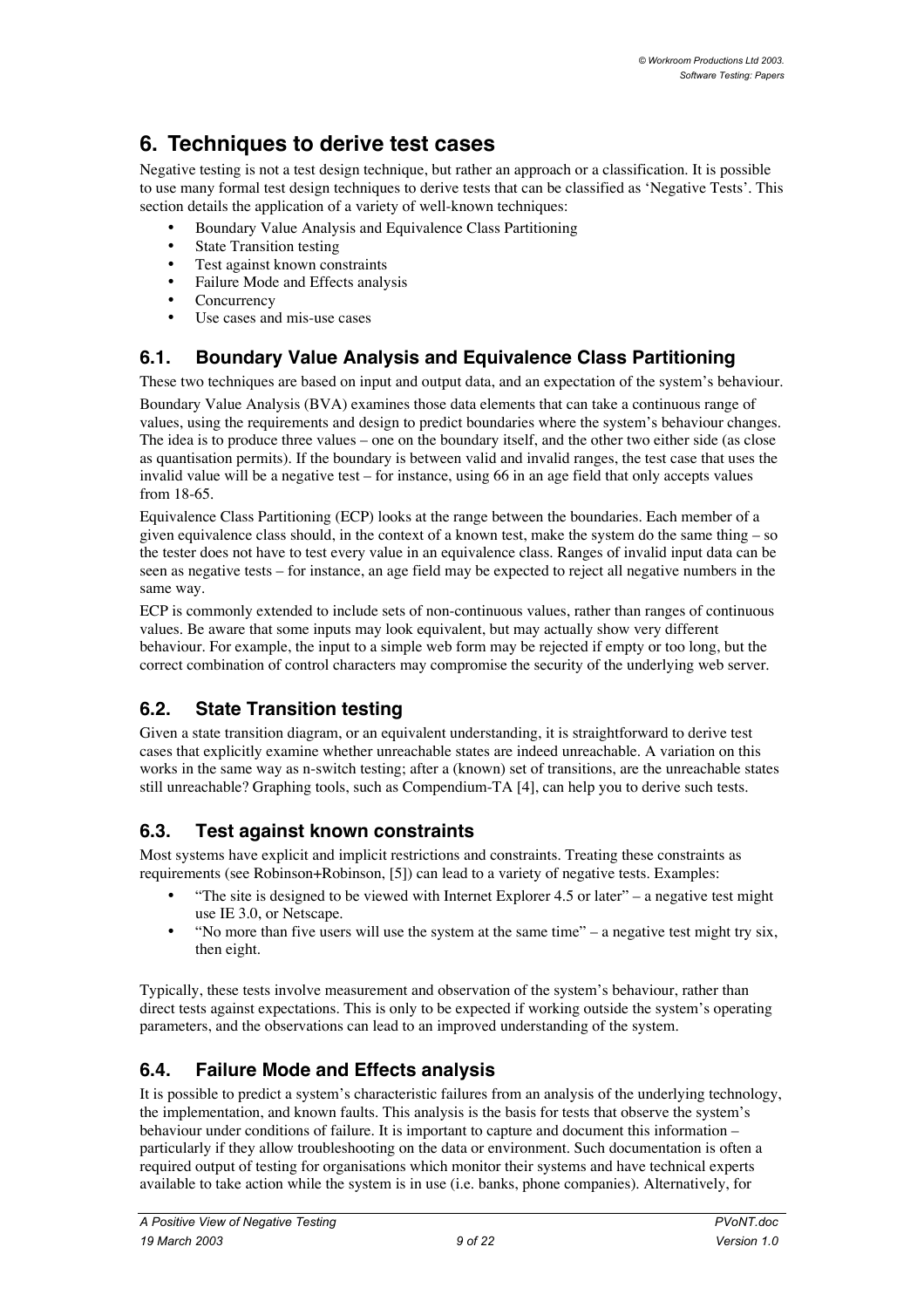# **6. Techniques to derive test cases**

Negative testing is not a test design technique, but rather an approach or a classification. It is possible to use many formal test design techniques to derive tests that can be classified as 'Negative Tests'. This section details the application of a variety of well-known techniques:

Boundary Value Analysis and Equivalence Class Partitioning State Transition testing Test against known constraints Failure Mode and Effects analysis **Concurrency** Use cases and mis-use cases

## **6.1. Boundary Value Analysis and Equivalence Class Partitioning**

These two techniques are based on input and output data, and an expectation of the system's behaviour.

Boundary Value Analysis (BVA) examines those data elements that can take a continuous range of values, using the requirements and design to predict boundaries where the system's behaviour changes. The idea is to produce three values – one on the boundary itself, and the other two either side (as close as quantisation permits). If the boundary is between valid and invalid ranges, the test case that uses the invalid value will be a negative test – for instance, using 66 in an age field that only accepts values from 18-65.

Equivalence Class Partitioning (ECP) looks at the range between the boundaries. Each member of a given equivalence class should, in the context of a known test, make the system do the same thing  $-$  so the tester does not have to test every value in an equivalence class. Ranges of invalid input data can be seen as negative tests – for instance, an age field may be expected to reject all negative numbers in the same way.

ECP is commonly extended to include sets of non-continuous values, rather than ranges of continuous values. Be aware that some inputs may look equivalent, but may actually show very different behaviour. For example, the input to a simple web form may be rejected if empty or too long, but the correct combination of control characters may compromise the security of the underlying web server.

## **6.2. State Transition testing**

Given a state transition diagram, or an equivalent understanding, it is straightforward to derive test cases that explicitly examine whether unreachable states are indeed unreachable. A variation on this works in the same way as n-switch testing; after a (known) set of transitions, are the unreachable states still unreachable? Graphing tools, such as Compendium-TA [4], can help you to derive such tests.

## **6.3. Test against known constraints**

Most systems have explicit and implicit restrictions and constraints. Treating these constraints as requirements (see Robinson+Robinson, [5]) can lead to a variety of negative tests. Examples:

"The site is designed to be viewed with Internet Explorer 4.5 or later" – a negative test might use IE 3.0, or Netscape.

"No more than five users will use the system at the same time" – a negative test might try six, then eight.

Typically, these tests involve measurement and observation of the system's behaviour, rather than direct tests against expectations. This is only to be expected if working outside the system's operating parameters, and the observations can lead to an improved understanding of the system.

## **6.4. Failure Mode and Effects analysis**

It is possible to predict a system's characteristic failures from an analysis of the underlying technology, the implementation, and known faults. This analysis is the basis for tests that observe the system's behaviour under conditions of failure. It is important to capture and document this information – particularly if they allow troubleshooting on the data or environment. Such documentation is often a required output of testing for organisations which monitor their systems and have technical experts available to take action while the system is in use (i.e. banks, phone companies). Alternatively, for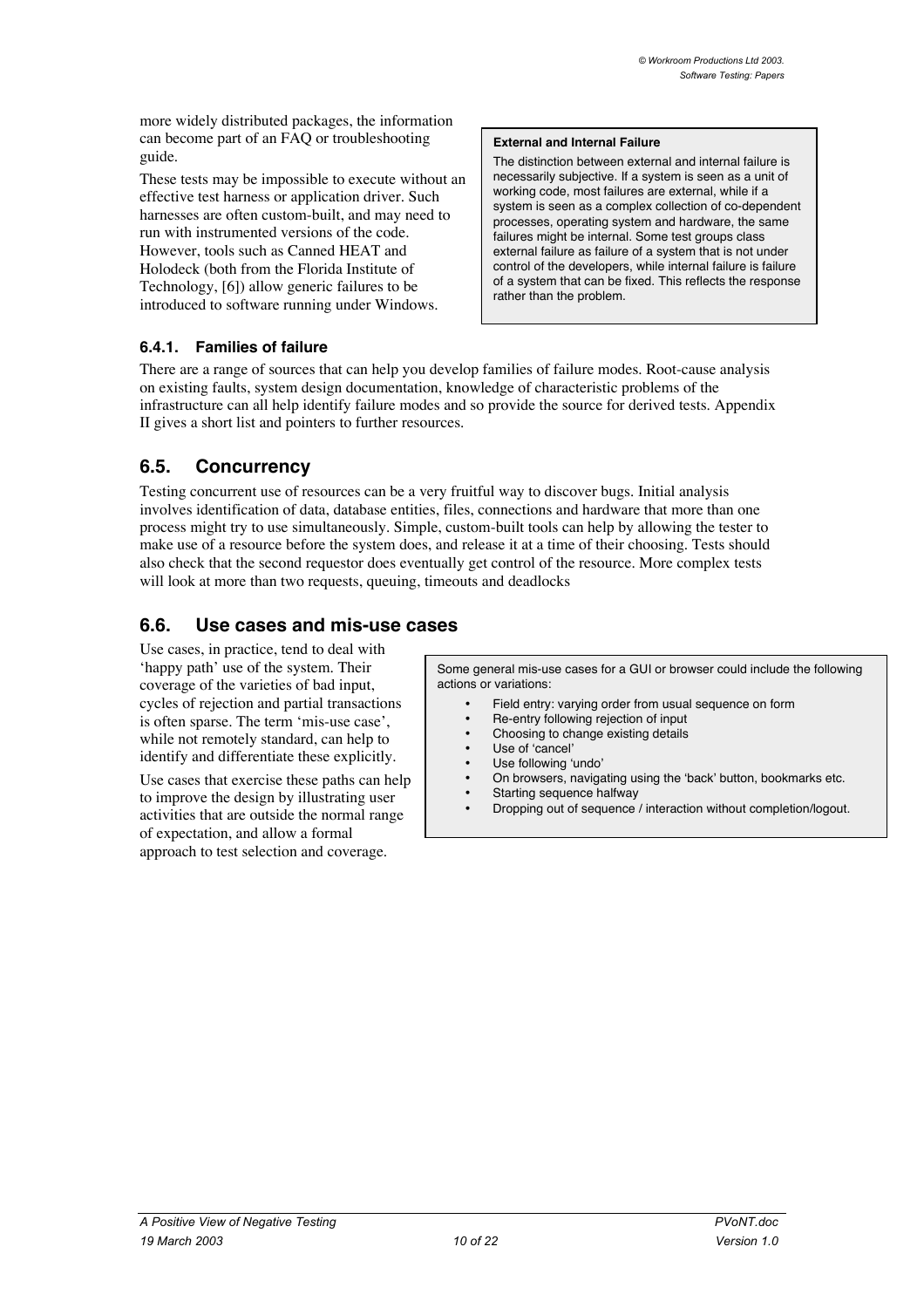more widely distributed packages, the information can become part of an FAQ or troubleshooting guide.

These tests may be impossible to execute without an effective test harness or application driver. Such harnesses are often custom-built, and may need to run with instrumented versions of the code. However, tools such as Canned HEAT and Holodeck (both from the Florida Institute of Technology, [6]) allow generic failures to be introduced to software running under Windows.

#### **External and Internal Failure**

The distinction between external and internal failure is necessarily subjective. If a system is seen as a unit of working code, most failures are external, while if a system is seen as a complex collection of co-dependent processes, operating system and hardware, the same failures might be internal. Some test groups class external failure as failure of a system that is not under control of the developers, while internal failure is failure of a system that can be fixed. This reflects the response rather than the problem.

#### **6.4.1. Families of failure**

There are a range of sources that can help you develop families of failure modes. Root-cause analysis on existing faults, system design documentation, knowledge of characteristic problems of the infrastructure can all help identify failure modes and so provide the source for derived tests. Appendix II gives a short list and pointers to further resources.

### **6.5. Concurrency**

Testing concurrent use of resources can be a very fruitful way to discover bugs. Initial analysis involves identification of data, database entities, files, connections and hardware that more than one process might try to use simultaneously. Simple, custom-built tools can help by allowing the tester to make use of a resource before the system does, and release it at a time of their choosing. Tests should also check that the second requestor does eventually get control of the resource. More complex tests will look at more than two requests, queuing, timeouts and deadlocks

## **6.6. Use cases and mis-use cases**

Use cases, in practice, tend to deal with 'happy path' use of the system. Their coverage of the varieties of bad input, cycles of rejection and partial transactions is often sparse. The term 'mis-use case', while not remotely standard, can help to identify and differentiate these explicitly.

Use cases that exercise these paths can help to improve the design by illustrating user activities that are outside the normal range of expectation, and allow a formal approach to test selection and coverage.

Some general mis-use cases for a GUI or browser could include the following actions or variations:

> Field entry: varying order from usual sequence on form Re-entry following rejection of input Choosing to change existing details Use of 'cancel' Use following 'undo' On browsers, navigating using the 'back' button, bookmarks etc. Starting sequence halfway Dropping out of sequence / interaction without completion/logout.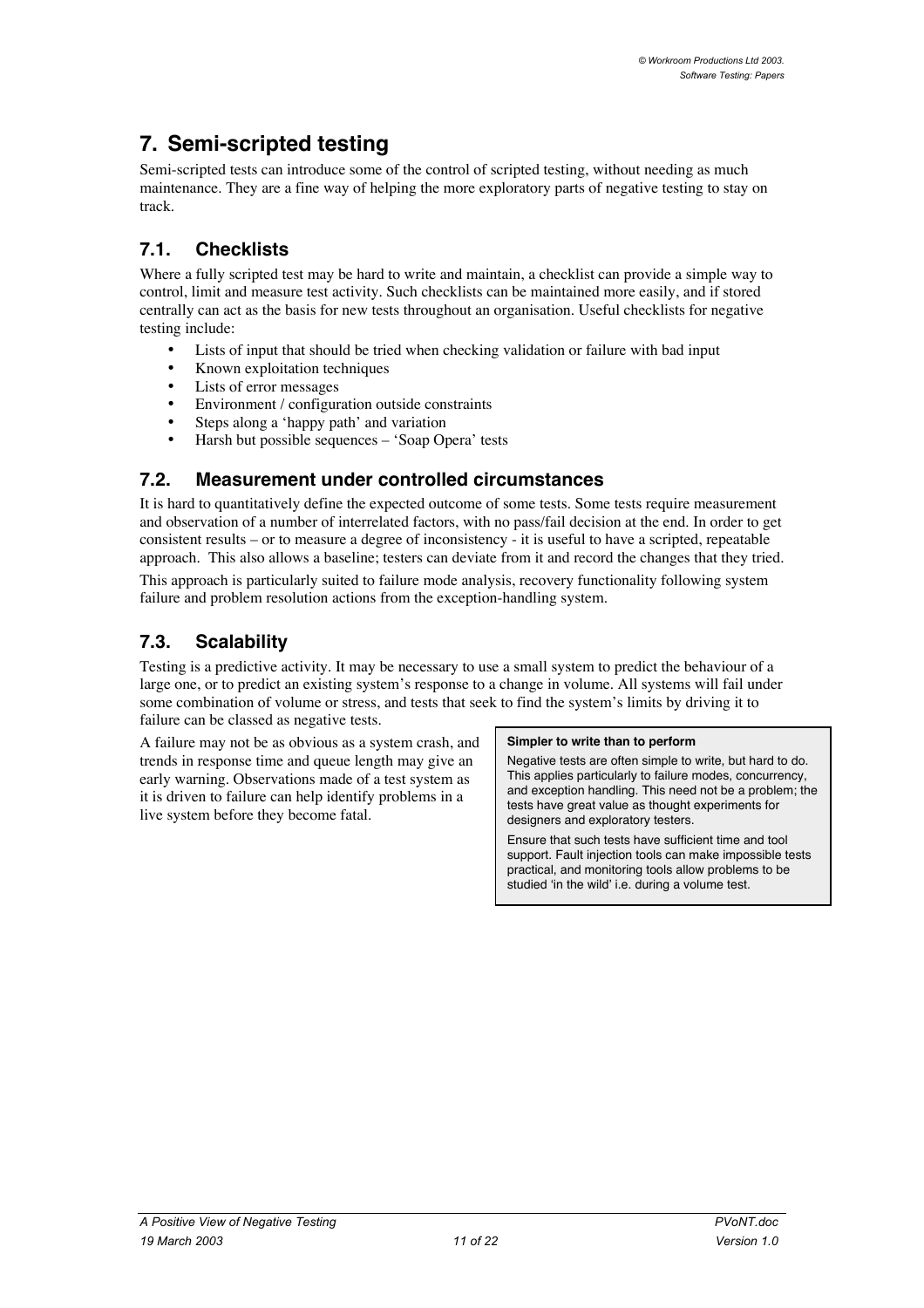# **7. Semi-scripted testing**

Semi-scripted tests can introduce some of the control of scripted testing, without needing as much maintenance. They are a fine way of helping the more exploratory parts of negative testing to stay on track.

## **7.1. Checklists**

Where a fully scripted test may be hard to write and maintain, a checklist can provide a simple way to control, limit and measure test activity. Such checklists can be maintained more easily, and if stored centrally can act as the basis for new tests throughout an organisation. Useful checklists for negative testing include:

Lists of input that should be tried when checking validation or failure with bad input Known exploitation techniques Lists of error messages Environment / configuration outside constraints Steps along a 'happy path' and variation Harsh but possible sequences – 'Soap Opera' tests

## **7.2. Measurement under controlled circumstances**

It is hard to quantitatively define the expected outcome of some tests. Some tests require measurement and observation of a number of interrelated factors, with no pass/fail decision at the end. In order to get consistent results – or to measure a degree of inconsistency - it is useful to have a scripted, repeatable approach. This also allows a baseline; testers can deviate from it and record the changes that they tried.

This approach is particularly suited to failure mode analysis, recovery functionality following system failure and problem resolution actions from the exception-handling system.

## **7.3. Scalability**

Testing is a predictive activity. It may be necessary to use a small system to predict the behaviour of a large one, or to predict an existing system's response to a change in volume. All systems will fail under some combination of volume or stress, and tests that seek to find the system's limits by driving it to failure can be classed as negative tests.

A failure may not be as obvious as a system crash, and trends in response time and queue length may give an early warning. Observations made of a test system as it is driven to failure can help identify problems in a live system before they become fatal.

#### **Simpler to write than to perform**

Negative tests are often simple to write, but hard to do. This applies particularly to failure modes, concurrency, and exception handling. This need not be a problem; the tests have great value as thought experiments for designers and exploratory testers.

Ensure that such tests have sufficient time and tool support. Fault injection tools can make impossible tests practical, and monitoring tools allow problems to be studied 'in the wild' i.e. during a volume test.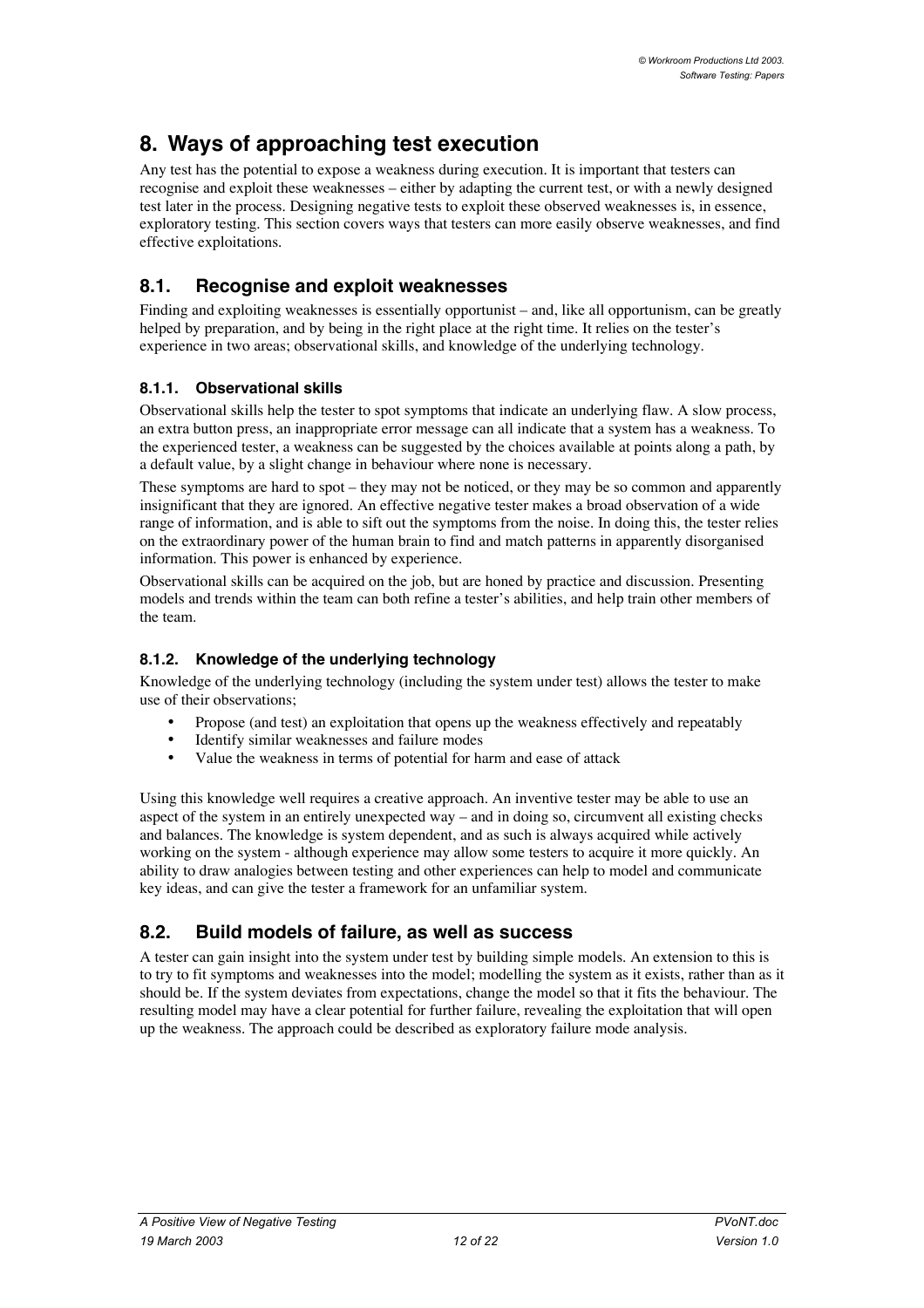# **8. Ways of approaching test execution**

Any test has the potential to expose a weakness during execution. It is important that testers can recognise and exploit these weaknesses – either by adapting the current test, or with a newly designed test later in the process. Designing negative tests to exploit these observed weaknesses is, in essence, exploratory testing. This section covers ways that testers can more easily observe weaknesses, and find effective exploitations.

## **8.1. Recognise and exploit weaknesses**

Finding and exploiting weaknesses is essentially opportunist – and, like all opportunism, can be greatly helped by preparation, and by being in the right place at the right time. It relies on the tester's experience in two areas; observational skills, and knowledge of the underlying technology.

### **8.1.1. Observational skills**

Observational skills help the tester to spot symptoms that indicate an underlying flaw. A slow process, an extra button press, an inappropriate error message can all indicate that a system has a weakness. To the experienced tester, a weakness can be suggested by the choices available at points along a path, by a default value, by a slight change in behaviour where none is necessary.

These symptoms are hard to spot – they may not be noticed, or they may be so common and apparently insignificant that they are ignored. An effective negative tester makes a broad observation of a wide range of information, and is able to sift out the symptoms from the noise. In doing this, the tester relies on the extraordinary power of the human brain to find and match patterns in apparently disorganised information. This power is enhanced by experience.

Observational skills can be acquired on the job, but are honed by practice and discussion. Presenting models and trends within the team can both refine a tester's abilities, and help train other members of the team.

### **8.1.2. Knowledge of the underlying technology**

Knowledge of the underlying technology (including the system under test) allows the tester to make use of their observations;

Propose (and test) an exploitation that opens up the weakness effectively and repeatably Identify similar weaknesses and failure modes

Value the weakness in terms of potential for harm and ease of attack

Using this knowledge well requires a creative approach. An inventive tester may be able to use an aspect of the system in an entirely unexpected way – and in doing so, circumvent all existing checks and balances. The knowledge is system dependent, and as such is always acquired while actively working on the system - although experience may allow some testers to acquire it more quickly. An ability to draw analogies between testing and other experiences can help to model and communicate key ideas, and can give the tester a framework for an unfamiliar system.

## **8.2. Build models of failure, as well as success**

A tester can gain insight into the system under test by building simple models. An extension to this is to try to fit symptoms and weaknesses into the model; modelling the system as it exists, rather than as it should be. If the system deviates from expectations, change the model so that it fits the behaviour. The resulting model may have a clear potential for further failure, revealing the exploitation that will open up the weakness. The approach could be described as exploratory failure mode analysis.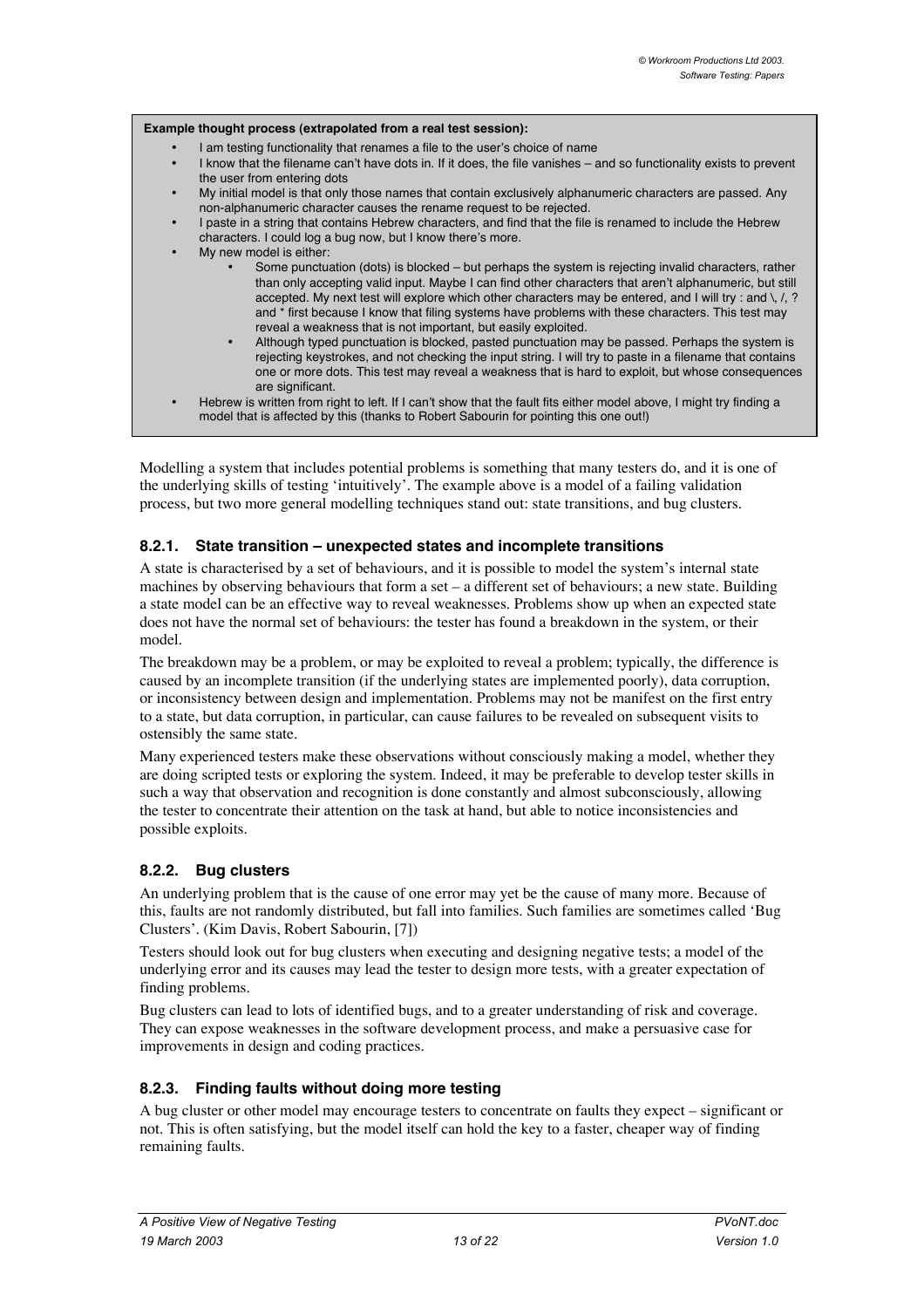

Modelling a system that includes potential problems is something that many testers do, and it is one of the underlying skills of testing 'intuitively'. The example above is a model of a failing validation process, but two more general modelling techniques stand out: state transitions, and bug clusters.

#### **8.2.1. State transition – unexpected states and incomplete transitions**

A state is characterised by a set of behaviours, and it is possible to model the system's internal state machines by observing behaviours that form a set – a different set of behaviours; a new state. Building a state model can be an effective way to reveal weaknesses. Problems show up when an expected state does not have the normal set of behaviours: the tester has found a breakdown in the system, or their model.

The breakdown may be a problem, or may be exploited to reveal a problem; typically, the difference is caused by an incomplete transition (if the underlying states are implemented poorly), data corruption, or inconsistency between design and implementation. Problems may not be manifest on the first entry to a state, but data corruption, in particular, can cause failures to be revealed on subsequent visits to ostensibly the same state.

Many experienced testers make these observations without consciously making a model, whether they are doing scripted tests or exploring the system. Indeed, it may be preferable to develop tester skills in such a way that observation and recognition is done constantly and almost subconsciously, allowing the tester to concentrate their attention on the task at hand, but able to notice inconsistencies and possible exploits.

#### **8.2.2. Bug clusters**

An underlying problem that is the cause of one error may yet be the cause of many more. Because of this, faults are not randomly distributed, but fall into families. Such families are sometimes called 'Bug Clusters'. (Kim Davis, Robert Sabourin, [7])

Testers should look out for bug clusters when executing and designing negative tests; a model of the underlying error and its causes may lead the tester to design more tests, with a greater expectation of finding problems.

Bug clusters can lead to lots of identified bugs, and to a greater understanding of risk and coverage. They can expose weaknesses in the software development process, and make a persuasive case for improvements in design and coding practices.

#### **8.2.3. Finding faults without doing more testing**

A bug cluster or other model may encourage testers to concentrate on faults they expect – significant or not. This is often satisfying, but the model itself can hold the key to a faster, cheaper way of finding remaining faults.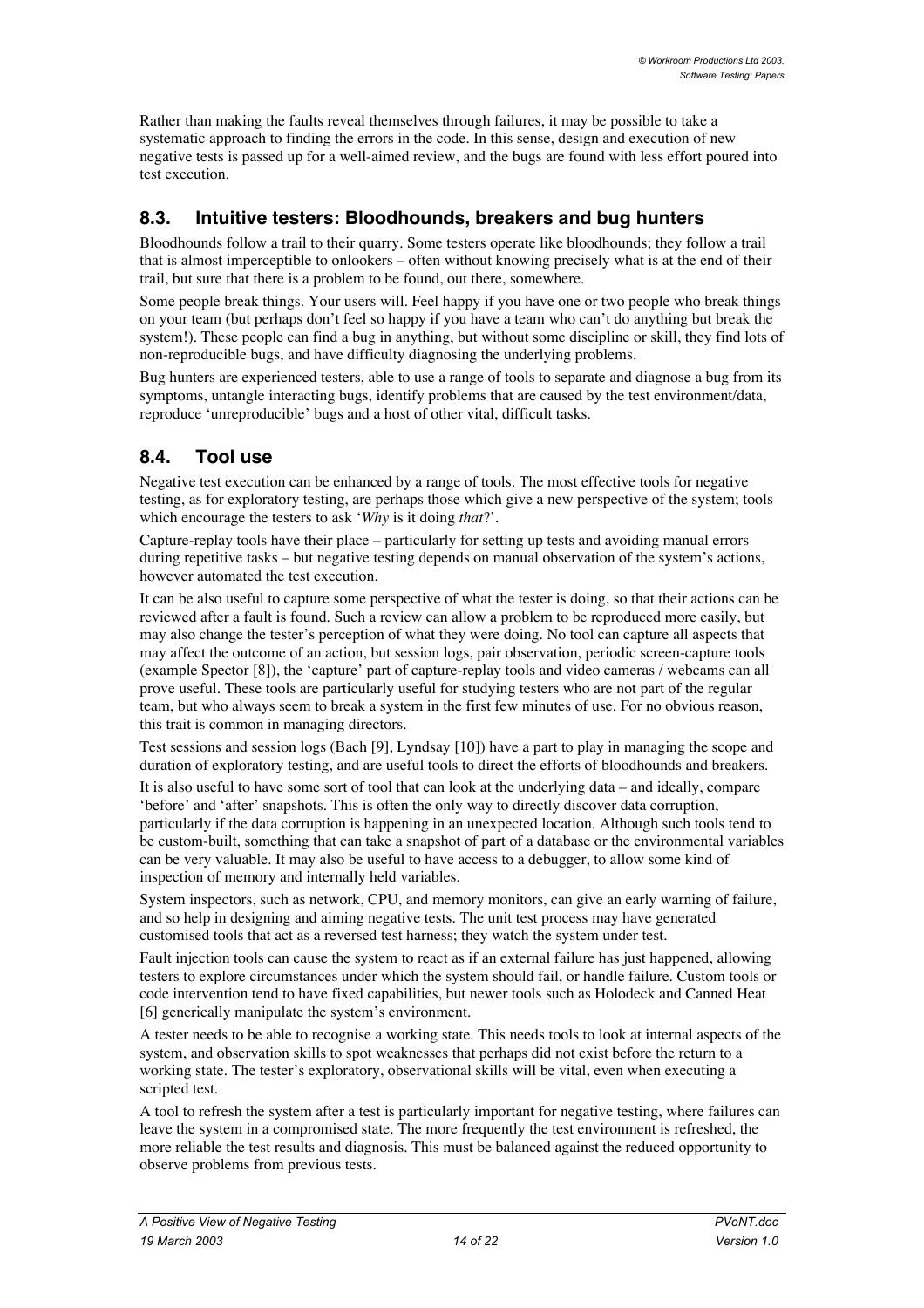Rather than making the faults reveal themselves through failures, it may be possible to take a systematic approach to finding the errors in the code. In this sense, design and execution of new negative tests is passed up for a well-aimed review, and the bugs are found with less effort poured into test execution.

### **8.3. Intuitive testers: Bloodhounds, breakers and bug hunters**

Bloodhounds follow a trail to their quarry. Some testers operate like bloodhounds; they follow a trail that is almost imperceptible to onlookers – often without knowing precisely what is at the end of their trail, but sure that there is a problem to be found, out there, somewhere.

Some people break things. Your users will. Feel happy if you have one or two people who break things on your team (but perhaps don't feel so happy if you have a team who can't do anything but break the system!). These people can find a bug in anything, but without some discipline or skill, they find lots of non-reproducible bugs, and have difficulty diagnosing the underlying problems.

Bug hunters are experienced testers, able to use a range of tools to separate and diagnose a bug from its symptoms, untangle interacting bugs, identify problems that are caused by the test environment/data, reproduce 'unreproducible' bugs and a host of other vital, difficult tasks.

## **8.4. Tool use**

Negative test execution can be enhanced by a range of tools. The most effective tools for negative testing, as for exploratory testing, are perhaps those which give a new perspective of the system; tools which encourage the testers to ask '*Why* is it doing *that*?'.

Capture-replay tools have their place – particularly for setting up tests and avoiding manual errors during repetitive tasks – but negative testing depends on manual observation of the system's actions, however automated the test execution.

It can be also useful to capture some perspective of what the tester is doing, so that their actions can be reviewed after a fault is found. Such a review can allow a problem to be reproduced more easily, but may also change the tester's perception of what they were doing. No tool can capture all aspects that may affect the outcome of an action, but session logs, pair observation, periodic screen-capture tools (example Spector [8]), the 'capture' part of capture-replay tools and video cameras / webcams can all prove useful. These tools are particularly useful for studying testers who are not part of the regular team, but who always seem to break a system in the first few minutes of use. For no obvious reason, this trait is common in managing directors.

Test sessions and session logs (Bach [9], Lyndsay [10]) have a part to play in managing the scope and duration of exploratory testing, and are useful tools to direct the efforts of bloodhounds and breakers.

It is also useful to have some sort of tool that can look at the underlying data – and ideally, compare 'before' and 'after' snapshots. This is often the only way to directly discover data corruption, particularly if the data corruption is happening in an unexpected location. Although such tools tend to be custom-built, something that can take a snapshot of part of a database or the environmental variables can be very valuable. It may also be useful to have access to a debugger, to allow some kind of inspection of memory and internally held variables.

System inspectors, such as network, CPU, and memory monitors, can give an early warning of failure, and so help in designing and aiming negative tests. The unit test process may have generated customised tools that act as a reversed test harness; they watch the system under test.

Fault injection tools can cause the system to react as if an external failure has just happened, allowing testers to explore circumstances under which the system should fail, or handle failure. Custom tools or code intervention tend to have fixed capabilities, but newer tools such as Holodeck and Canned Heat [6] generically manipulate the system's environment.

A tester needs to be able to recognise a working state. This needs tools to look at internal aspects of the system, and observation skills to spot weaknesses that perhaps did not exist before the return to a working state. The tester's exploratory, observational skills will be vital, even when executing a scripted test.

A tool to refresh the system after a test is particularly important for negative testing, where failures can leave the system in a compromised state. The more frequently the test environment is refreshed, the more reliable the test results and diagnosis. This must be balanced against the reduced opportunity to observe problems from previous tests.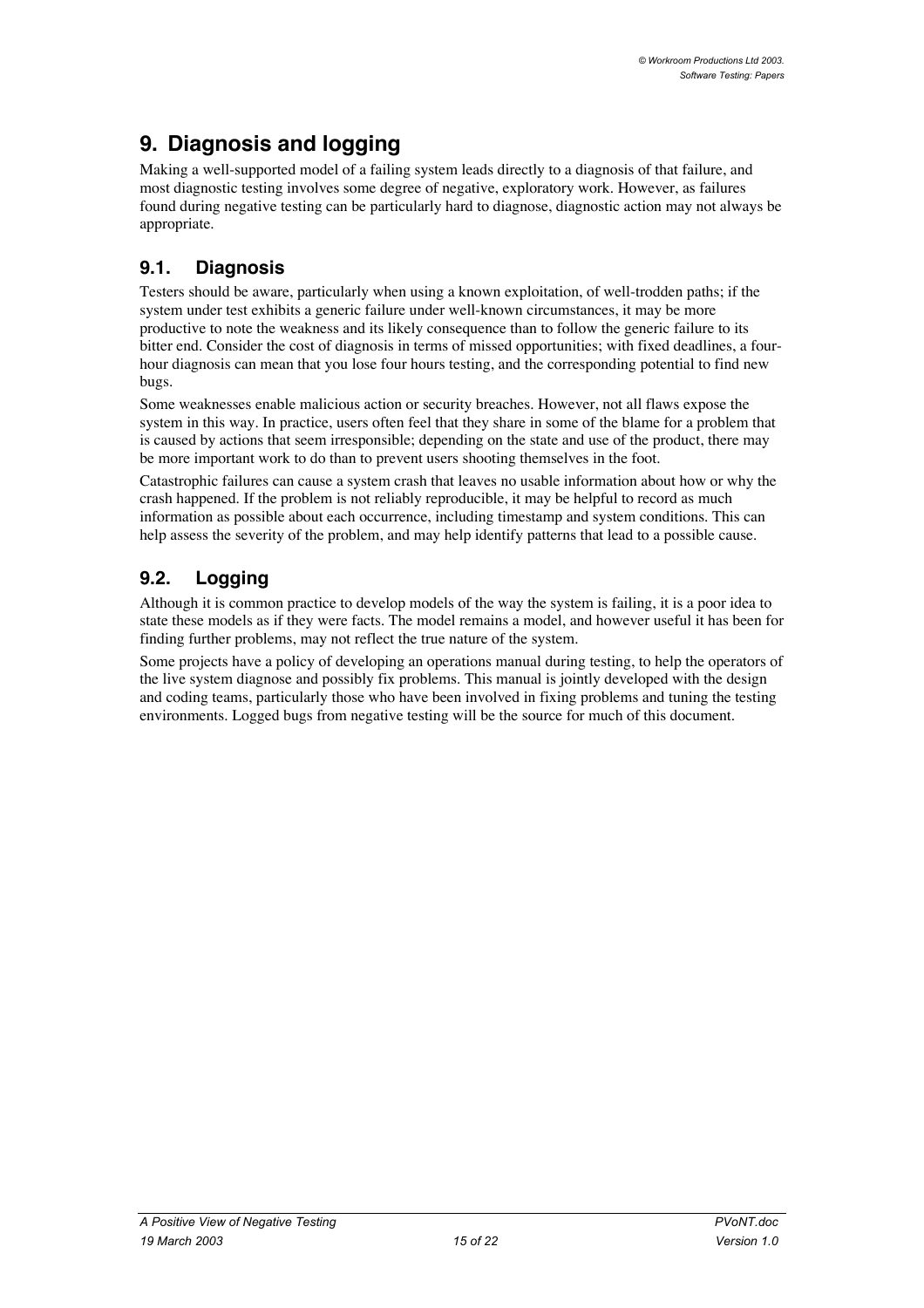# **9. Diagnosis and logging**

Making a well-supported model of a failing system leads directly to a diagnosis of that failure, and most diagnostic testing involves some degree of negative, exploratory work. However, as failures found during negative testing can be particularly hard to diagnose, diagnostic action may not always be appropriate.

## **9.1. Diagnosis**

Testers should be aware, particularly when using a known exploitation, of well-trodden paths; if the system under test exhibits a generic failure under well-known circumstances, it may be more productive to note the weakness and its likely consequence than to follow the generic failure to its bitter end. Consider the cost of diagnosis in terms of missed opportunities; with fixed deadlines, a fourhour diagnosis can mean that you lose four hours testing, and the corresponding potential to find new bugs.

Some weaknesses enable malicious action or security breaches. However, not all flaws expose the system in this way. In practice, users often feel that they share in some of the blame for a problem that is caused by actions that seem irresponsible; depending on the state and use of the product, there may be more important work to do than to prevent users shooting themselves in the foot.

Catastrophic failures can cause a system crash that leaves no usable information about how or why the crash happened. If the problem is not reliably reproducible, it may be helpful to record as much information as possible about each occurrence, including timestamp and system conditions. This can help assess the severity of the problem, and may help identify patterns that lead to a possible cause.

## **9.2. Logging**

Although it is common practice to develop models of the way the system is failing, it is a poor idea to state these models as if they were facts. The model remains a model, and however useful it has been for finding further problems, may not reflect the true nature of the system.

Some projects have a policy of developing an operations manual during testing, to help the operators of the live system diagnose and possibly fix problems. This manual is jointly developed with the design and coding teams, particularly those who have been involved in fixing problems and tuning the testing environments. Logged bugs from negative testing will be the source for much of this document.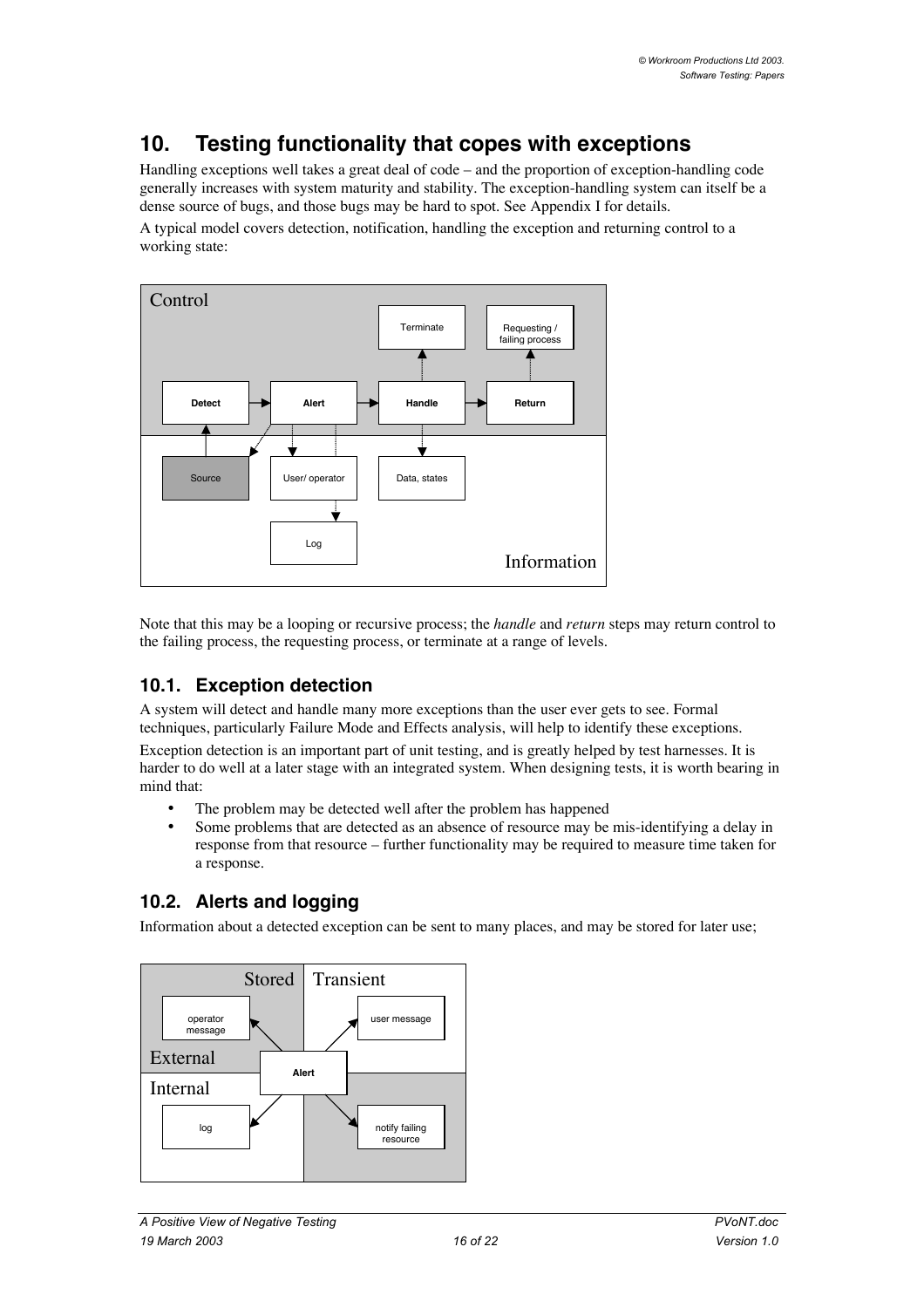# **10. Testing functionality that copes with exceptions**

Handling exceptions well takes a great deal of code – and the proportion of exception-handling code generally increases with system maturity and stability. The exception-handling system can itself be a dense source of bugs, and those bugs may be hard to spot. See Appendix I for details.

A typical model covers detection, notification, handling the exception and returning control to a working state:



Note that this may be a looping or recursive process; the *handle* and *return* steps may return control to the failing process, the requesting process, or terminate at a range of levels.

## **10.1. Exception detection**

A system will detect and handle many more exceptions than the user ever gets to see. Formal techniques, particularly Failure Mode and Effects analysis, will help to identify these exceptions.

Exception detection is an important part of unit testing, and is greatly helped by test harnesses. It is harder to do well at a later stage with an integrated system. When designing tests, it is worth bearing in mind that:

The problem may be detected well after the problem has happened

Some problems that are detected as an absence of resource may be mis-identifying a delay in response from that resource – further functionality may be required to measure time taken for a response.

## **10.2. Alerts and logging**

Information about a detected exception can be sent to many places, and may be stored for later use;

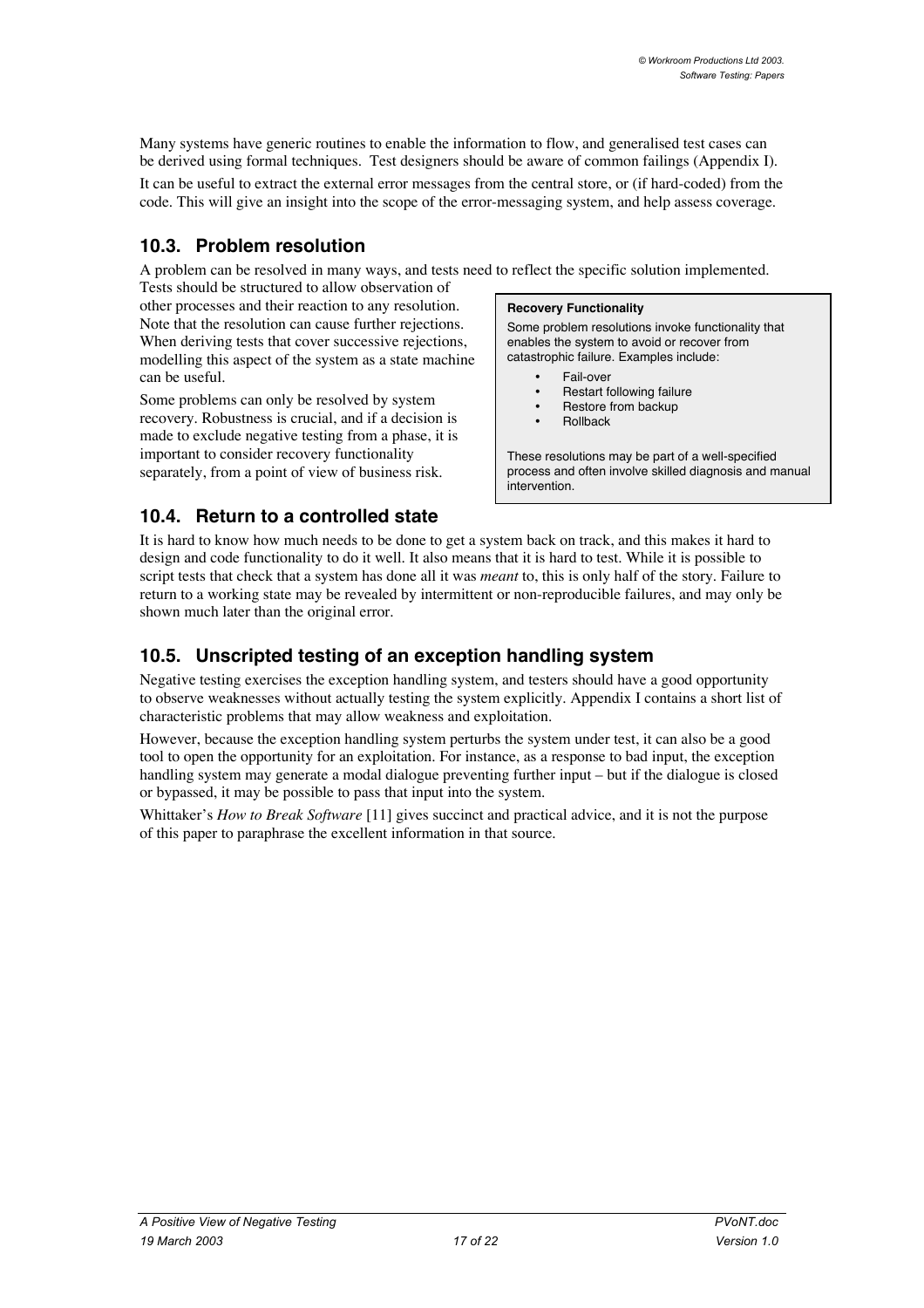Many systems have generic routines to enable the information to flow, and generalised test cases can be derived using formal techniques. Test designers should be aware of common failings (Appendix I). It can be useful to extract the external error messages from the central store, or (if hard-coded) from the code. This will give an insight into the scope of the error-messaging system, and help assess coverage.

## **10.3. Problem resolution**

A problem can be resolved in many ways, and tests need to reflect the specific solution implemented.

Tests should be structured to allow observation of other processes and their reaction to any resolution. Note that the resolution can cause further rejections. When deriving tests that cover successive rejections, modelling this aspect of the system as a state machine can be useful.

Some problems can only be resolved by system recovery. Robustness is crucial, and if a decision is made to exclude negative testing from a phase, it is important to consider recovery functionality separately, from a point of view of business risk.

#### **Recovery Functionality**

Some problem resolutions invoke functionality that enables the system to avoid or recover from catastrophic failure. Examples include:

> Fail-over Restart following failure Restore from backup Rollback

These resolutions may be part of a well-specified process and often involve skilled diagnosis and manual .<br>intervention

## **10.4. Return to a controlled state**

It is hard to know how much needs to be done to get a system back on track, and this makes it hard to design and code functionality to do it well. It also means that it is hard to test. While it is possible to script tests that check that a system has done all it was *meant* to, this is only half of the story. Failure to return to a working state may be revealed by intermittent or non-reproducible failures, and may only be shown much later than the original error.

## **10.5. Unscripted testing of an exception handling system**

Negative testing exercises the exception handling system, and testers should have a good opportunity to observe weaknesses without actually testing the system explicitly. Appendix I contains a short list of characteristic problems that may allow weakness and exploitation.

However, because the exception handling system perturbs the system under test, it can also be a good tool to open the opportunity for an exploitation. For instance, as a response to bad input, the exception handling system may generate a modal dialogue preventing further input – but if the dialogue is closed or bypassed, it may be possible to pass that input into the system.

Whittaker's *How to Break Software* [11] gives succinct and practical advice, and it is not the purpose of this paper to paraphrase the excellent information in that source.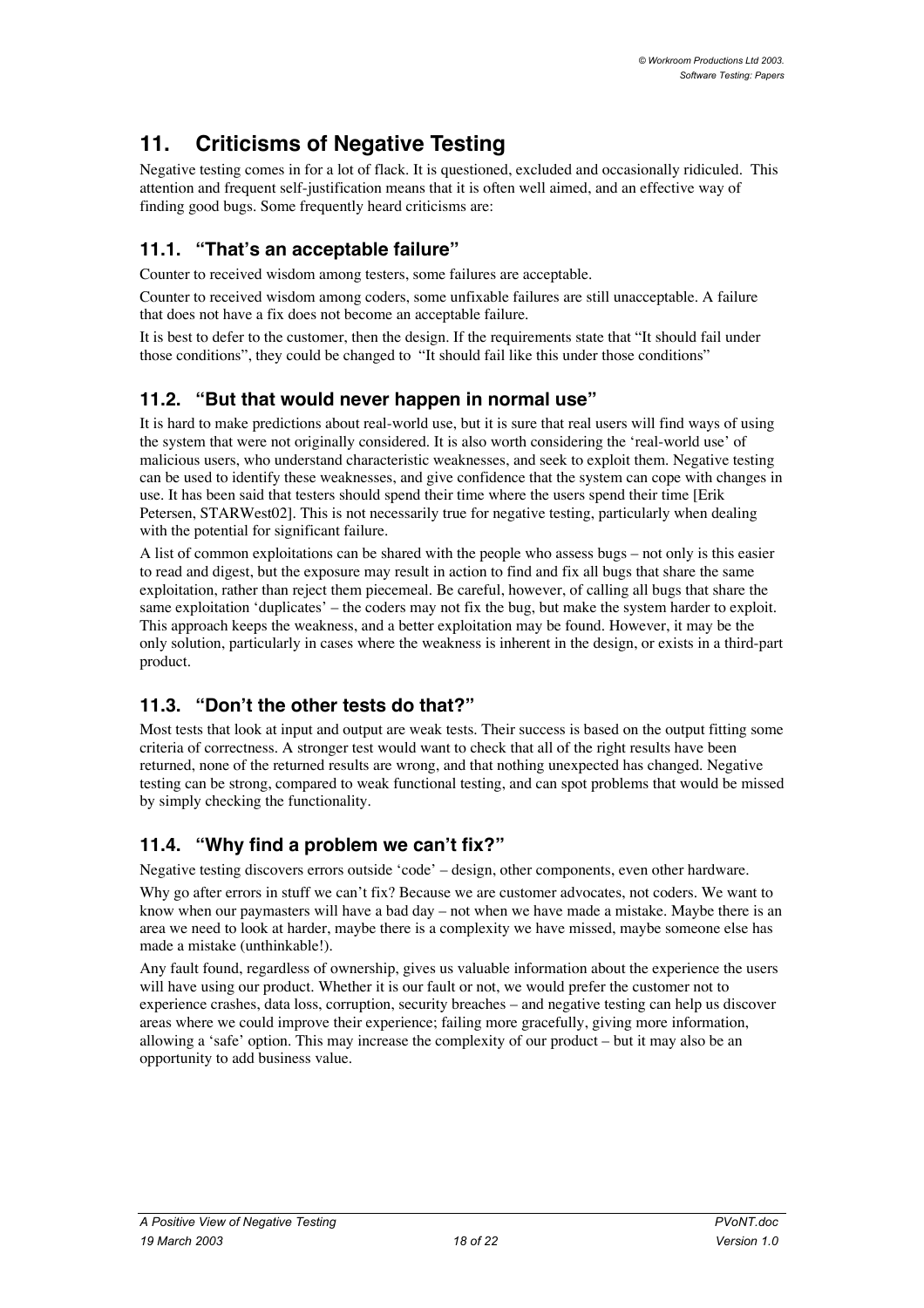# **11. Criticisms of Negative Testing**

Negative testing comes in for a lot of flack. It is questioned, excluded and occasionally ridiculed. This attention and frequent self-justification means that it is often well aimed, and an effective way of finding good bugs. Some frequently heard criticisms are:

## **11.1. "That's an acceptable failure"**

Counter to received wisdom among testers, some failures are acceptable.

Counter to received wisdom among coders, some unfixable failures are still unacceptable. A failure that does not have a fix does not become an acceptable failure.

It is best to defer to the customer, then the design. If the requirements state that "It should fail under those conditions", they could be changed to "It should fail like this under those conditions"

## **11.2. "But that would never happen in normal use"**

It is hard to make predictions about real-world use, but it is sure that real users will find ways of using the system that were not originally considered. It is also worth considering the 'real-world use' of malicious users, who understand characteristic weaknesses, and seek to exploit them. Negative testing can be used to identify these weaknesses, and give confidence that the system can cope with changes in use. It has been said that testers should spend their time where the users spend their time [Erik Petersen, STARWest02]. This is not necessarily true for negative testing, particularly when dealing with the potential for significant failure.

A list of common exploitations can be shared with the people who assess bugs – not only is this easier to read and digest, but the exposure may result in action to find and fix all bugs that share the same exploitation, rather than reject them piecemeal. Be careful, however, of calling all bugs that share the same exploitation 'duplicates' – the coders may not fix the bug, but make the system harder to exploit. This approach keeps the weakness, and a better exploitation may be found. However, it may be the only solution, particularly in cases where the weakness is inherent in the design, or exists in a third-part product.

## **11.3. "Don't the other tests do that?"**

Most tests that look at input and output are weak tests. Their success is based on the output fitting some criteria of correctness. A stronger test would want to check that all of the right results have been returned, none of the returned results are wrong, and that nothing unexpected has changed. Negative testing can be strong, compared to weak functional testing, and can spot problems that would be missed by simply checking the functionality.

## **11.4. "Why find a problem we can't fix?"**

Negative testing discovers errors outside 'code' – design, other components, even other hardware.

Why go after errors in stuff we can't fix? Because we are customer advocates, not coders. We want to know when our paymasters will have a bad day – not when we have made a mistake. Maybe there is an area we need to look at harder, maybe there is a complexity we have missed, maybe someone else has made a mistake (unthinkable!).

Any fault found, regardless of ownership, gives us valuable information about the experience the users will have using our product. Whether it is our fault or not, we would prefer the customer not to experience crashes, data loss, corruption, security breaches – and negative testing can help us discover areas where we could improve their experience; failing more gracefully, giving more information, allowing a 'safe' option. This may increase the complexity of our product – but it may also be an opportunity to add business value.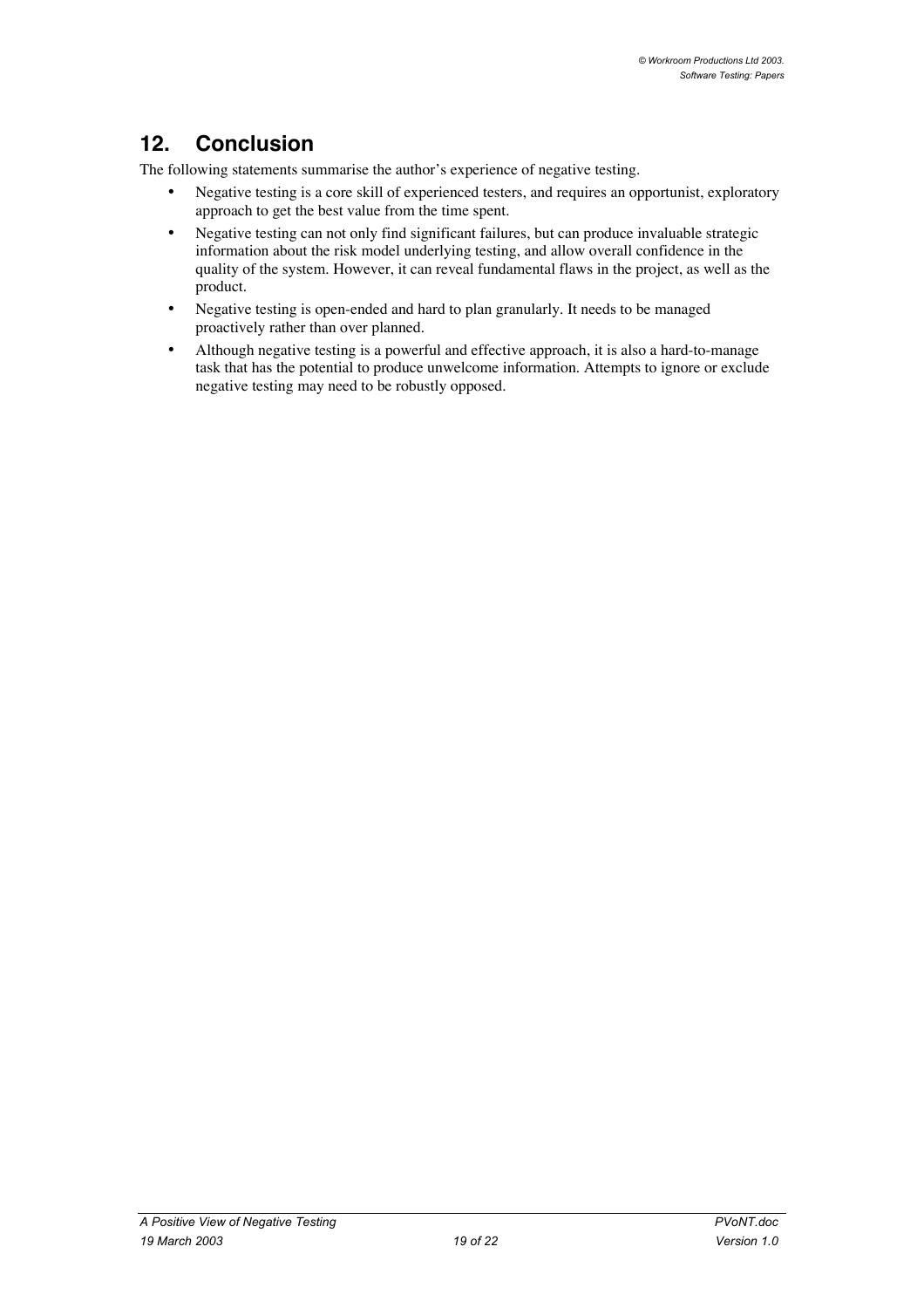# **12. Conclusion**

The following statements summarise the author's experience of negative testing.

Negative testing is a core skill of experienced testers, and requires an opportunist, exploratory approach to get the best value from the time spent.

Negative testing can not only find significant failures, but can produce invaluable strategic information about the risk model underlying testing, and allow overall confidence in the quality of the system. However, it can reveal fundamental flaws in the project, as well as the product.

Negative testing is open-ended and hard to plan granularly. It needs to be managed proactively rather than over planned.

Although negative testing is a powerful and effective approach, it is also a hard-to-manage task that has the potential to produce unwelcome information. Attempts to ignore or exclude negative testing may need to be robustly opposed.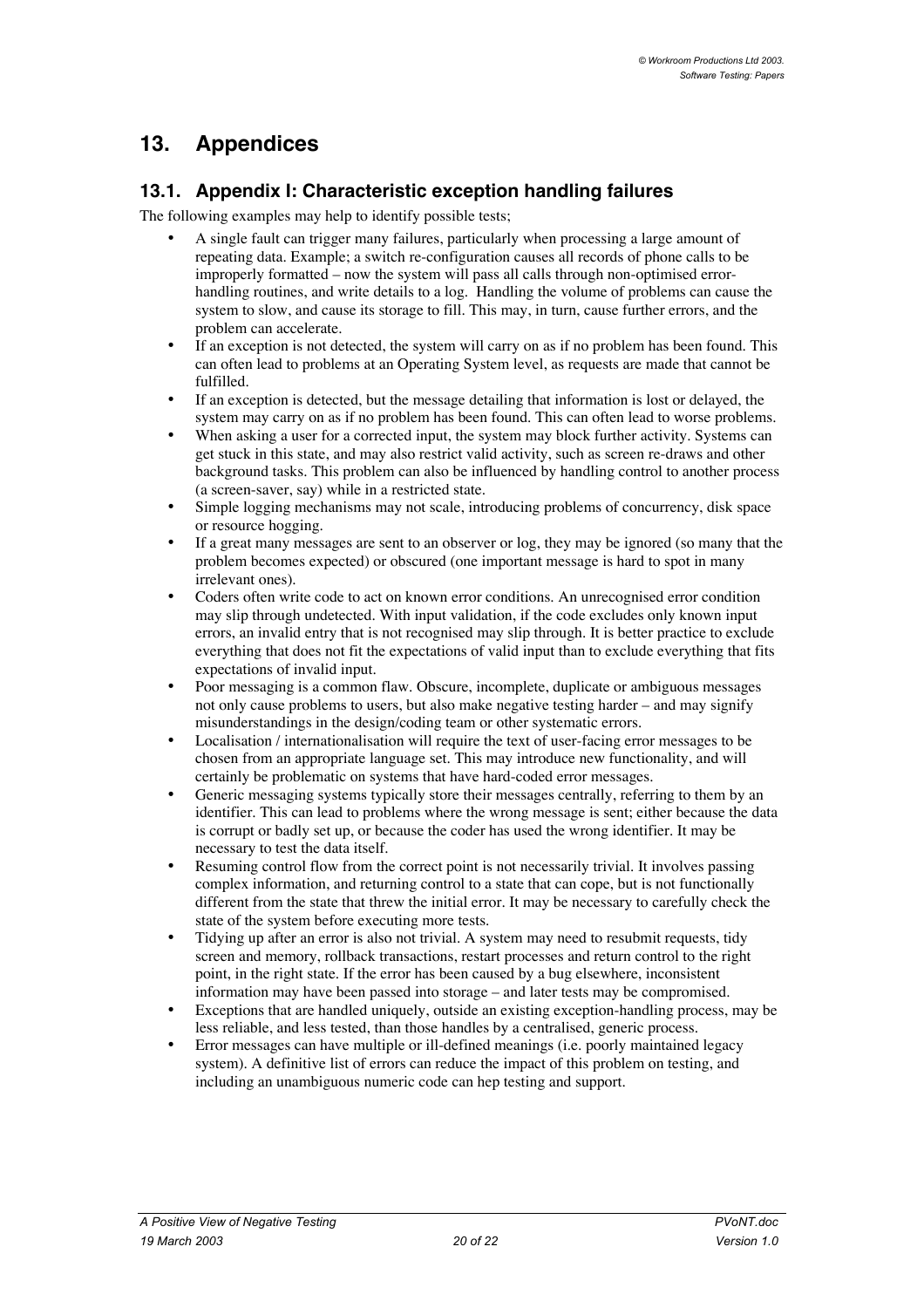## **13. Appendices**

### **13.1. Appendix I: Characteristic exception handling failures**

The following examples may help to identify possible tests;

A single fault can trigger many failures, particularly when processing a large amount of repeating data. Example; a switch re-configuration causes all records of phone calls to be improperly formatted – now the system will pass all calls through non-optimised errorhandling routines, and write details to a log. Handling the volume of problems can cause the system to slow, and cause its storage to fill. This may, in turn, cause further errors, and the problem can accelerate.

If an exception is not detected, the system will carry on as if no problem has been found. This can often lead to problems at an Operating System level, as requests are made that cannot be fulfilled.

If an exception is detected, but the message detailing that information is lost or delayed, the system may carry on as if no problem has been found. This can often lead to worse problems. When asking a user for a corrected input, the system may block further activity. Systems can get stuck in this state, and may also restrict valid activity, such as screen re-draws and other background tasks. This problem can also be influenced by handling control to another process (a screen-saver, say) while in a restricted state.

Simple logging mechanisms may not scale, introducing problems of concurrency, disk space or resource hogging.

If a great many messages are sent to an observer or log, they may be ignored (so many that the problem becomes expected) or obscured (one important message is hard to spot in many irrelevant ones).

Coders often write code to act on known error conditions. An unrecognised error condition may slip through undetected. With input validation, if the code excludes only known input errors, an invalid entry that is not recognised may slip through. It is better practice to exclude everything that does not fit the expectations of valid input than to exclude everything that fits expectations of invalid input.

Poor messaging is a common flaw. Obscure, incomplete, duplicate or ambiguous messages not only cause problems to users, but also make negative testing harder – and may signify misunderstandings in the design/coding team or other systematic errors.

Localisation / internationalisation will require the text of user-facing error messages to be chosen from an appropriate language set. This may introduce new functionality, and will certainly be problematic on systems that have hard-coded error messages.

Generic messaging systems typically store their messages centrally, referring to them by an identifier. This can lead to problems where the wrong message is sent; either because the data is corrupt or badly set up, or because the coder has used the wrong identifier. It may be necessary to test the data itself.

Resuming control flow from the correct point is not necessarily trivial. It involves passing complex information, and returning control to a state that can cope, but is not functionally different from the state that threw the initial error. It may be necessary to carefully check the state of the system before executing more tests.

Tidying up after an error is also not trivial. A system may need to resubmit requests, tidy screen and memory, rollback transactions, restart processes and return control to the right point, in the right state. If the error has been caused by a bug elsewhere, inconsistent information may have been passed into storage – and later tests may be compromised. Exceptions that are handled uniquely, outside an existing exception-handling process, may be less reliable, and less tested, than those handles by a centralised, generic process. Error messages can have multiple or ill-defined meanings (i.e. poorly maintained legacy system). A definitive list of errors can reduce the impact of this problem on testing, and including an unambiguous numeric code can hep testing and support.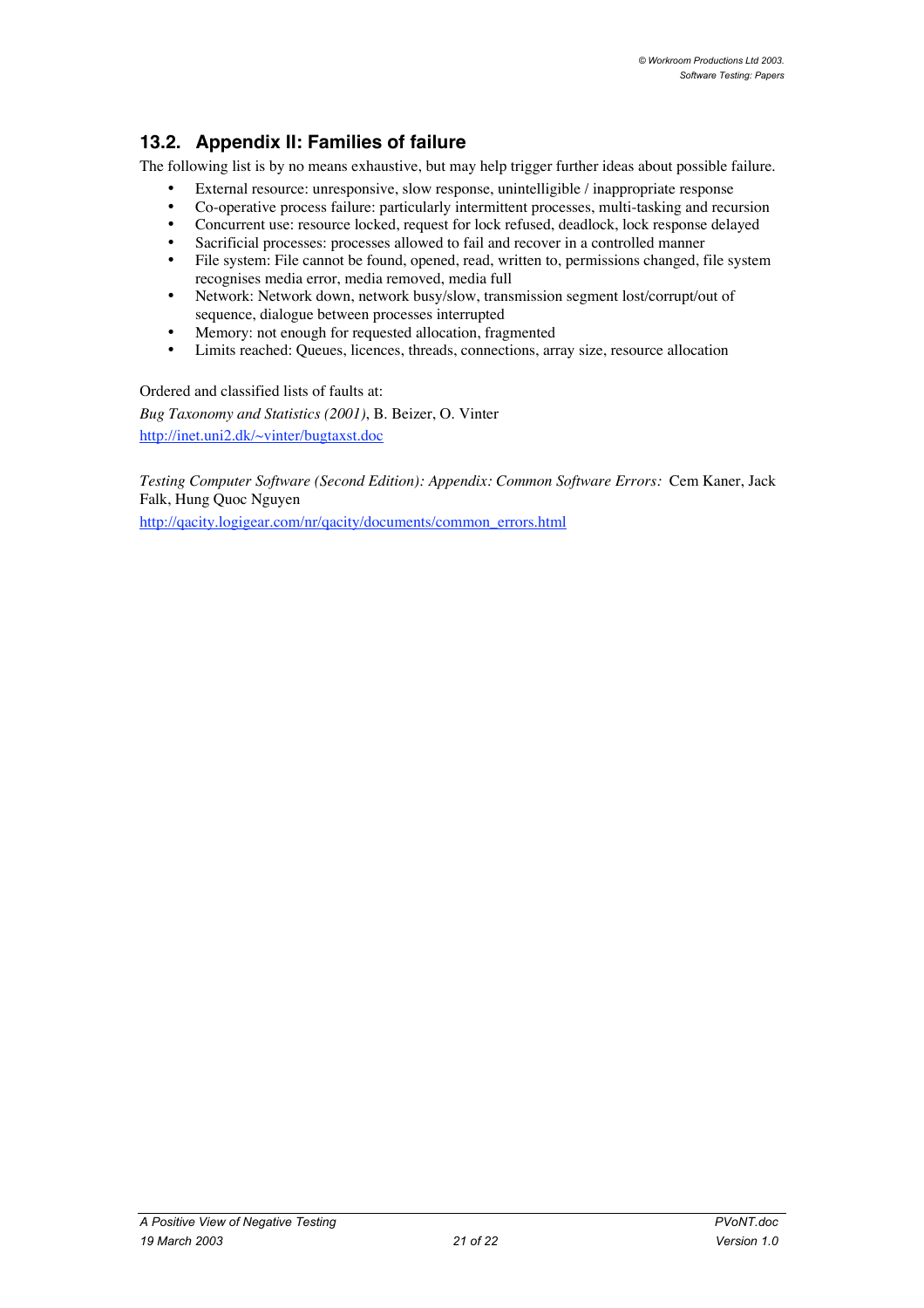## **13.2. Appendix II: Families of failure**

The following list is by no means exhaustive, but may help trigger further ideas about possible failure.

External resource: unresponsive, slow response, unintelligible / inappropriate response Co-operative process failure: particularly intermittent processes, multi-tasking and recursion Concurrent use: resource locked, request for lock refused, deadlock, lock response delayed Sacrificial processes: processes allowed to fail and recover in a controlled manner File system: File cannot be found, opened, read, written to, permissions changed, file system recognises media error, media removed, media full Network: Network down, network busy/slow, transmission segment lost/corrupt/out of sequence, dialogue between processes interrupted Memory: not enough for requested allocation, fragmented Limits reached: Queues, licences, threads, connections, array size, resource allocation

Ordered and classified lists of faults at:

*Bug Taxonomy and Statistics (2001)*, B. Beizer, O. Vinter http://inet.uni2.dk/~vinter/bugtaxst.doc

*Testing Computer Software (Second Edition): Appendix: Common Software Errors:* Cem Kaner, Jack Falk, Hung Quoc Nguyen

http://qacity.logigear.com/nr/qacity/documents/common\_errors.html